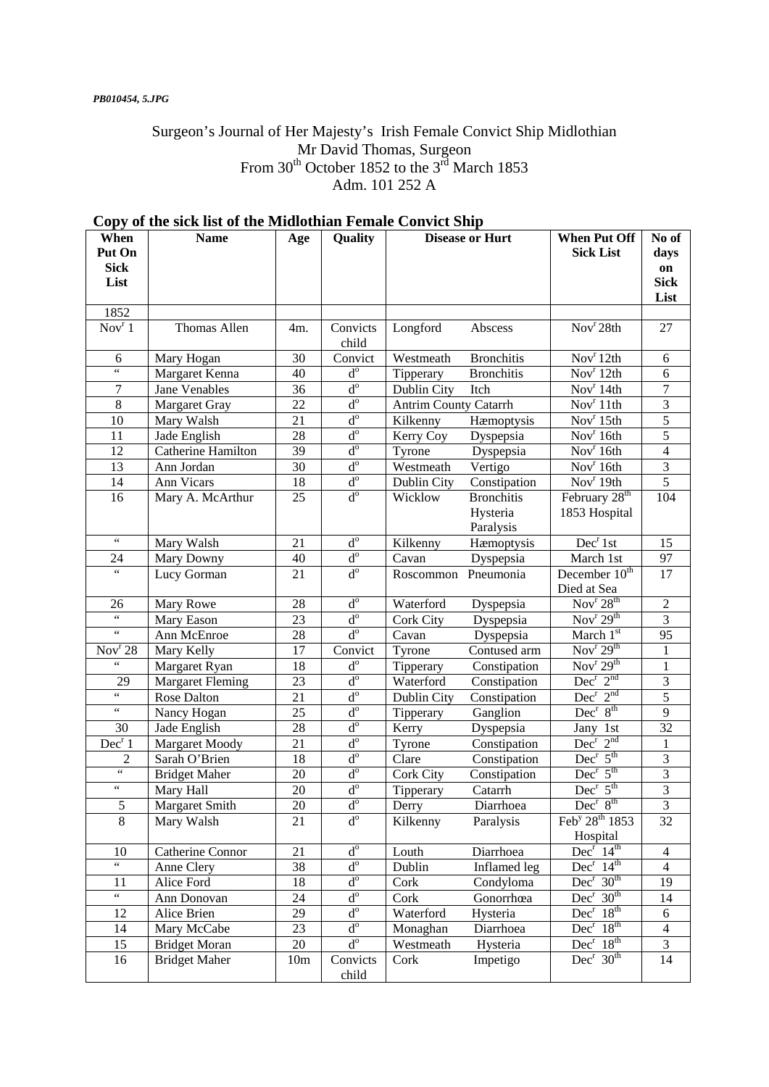## Surgeon's Journal of Her Majesty's Irish Female Convict Ship Midlothian Mr David Thomas, Surgeon From  $30^{th}$  October 1852 to the  $3^{rd}$  March 1853 Adm. 101 252 A

| When<br>Put On<br><b>Sick</b>              | <b>Name</b>             | Age    | Quality                   |                              | <b>Disease or Hurt</b>                     | <b>When Put Off</b><br><b>Sick List</b>    | No of<br>days<br>on     |
|--------------------------------------------|-------------------------|--------|---------------------------|------------------------------|--------------------------------------------|--------------------------------------------|-------------------------|
| List                                       |                         |        |                           |                              |                                            |                                            | <b>Sick</b><br>List     |
| 1852                                       |                         |        |                           |                              |                                            |                                            |                         |
| $\overline{Nov}^r 1$                       | Thomas Allen            | 4m.    | Convicts<br>child         | Longford                     | Abscess                                    | Nov <sup>r</sup> 28th                      | 27                      |
| 6                                          | Mary Hogan              | 30     | Convict                   | Westmeath                    | <b>Bronchitis</b>                          | Nov <sup>r</sup> 12th                      | 6                       |
| $\overline{\cdots}$                        | Margaret Kenna          | 40     | $\mathbf{d}^{\rm o}$      | Tipperary                    | <b>Bronchitis</b>                          | Nov <sup>r</sup> 12th                      | 6                       |
| 7                                          | Jane Venables           | 36     | $d^{\circ}$               | Dublin City                  | Itch                                       | Nov <sup>r</sup> 14th                      | 7                       |
| 8                                          | <b>Margaret Gray</b>    | 22     | $d^{\circ}$               | <b>Antrim County Catarrh</b> |                                            | Nov <sup>r</sup> 11th                      | 3                       |
| 10                                         | Mary Walsh              | 21     | $d^{\circ}$               | Kilkenny                     | Hæmoptysis                                 | Nov <sup>r</sup> 15th                      | 5                       |
| 11                                         | Jade English            | 28     | $d^{\circ}$               | Kerry Coy                    | Dyspepsia                                  | Nov <sup>r</sup> 16th                      | 5                       |
| 12                                         | Catherine Hamilton      | 39     | $d^{\circ}$               | Tyrone                       | Dyspepsia                                  | Nov <sup>r</sup> 16th                      | $\overline{\mathbf{4}}$ |
| 13                                         | Ann Jordan              | 30     | $d^{\circ}$               | Westmeath                    | Vertigo                                    | Nov <sup>r</sup> 16th                      | 3                       |
| 14                                         | Ann Vicars              | 18     | $\mathbf{d}^{\text{o}}$   | Dublin City                  | Constipation                               | Nov <sup>r</sup> 19th                      | 5                       |
| 16                                         | Mary A. McArthur        | 25     | $d^{\circ}$               | Wicklow                      | <b>Bronchitis</b><br>Hysteria<br>Paralysis | February 28 <sup>th</sup><br>1853 Hospital | 104                     |
| $\zeta$ $\zeta$                            | Mary Walsh              | 21     | $d^{\circ}$               | Kilkenny                     | Hæmoptysis                                 | Dec <sup>r</sup> 1st                       | 15                      |
| 24                                         | Mary Downy              | 40     | $\rm{d}^o$                | Cavan                        | Dyspepsia                                  | March 1st                                  | 97                      |
| $\zeta\,\zeta$                             | Lucy Gorman             | 21     | $\overline{d^o}$          | Roscommon                    | Pneumonia                                  | December 10 <sup>th</sup><br>Died at Sea   | 17                      |
| 26                                         | Mary Rowe               | 28     | $\mathbf{d}^{\rm o}$      | Waterford                    | Dyspepsia                                  | Nov <sup>r</sup> 28 <sup>th</sup>          | $\overline{2}$          |
| $\zeta\,\zeta$                             | Mary Eason              | 23     | $d^{\circ}$               | <b>Cork City</b>             | Dyspepsia                                  | Nov <sup>r</sup> $29th$                    | 3                       |
| $\boldsymbol{\zeta} \, \boldsymbol{\zeta}$ | Ann McEnroe             | 28     | $\mathbf{d}^{\text{o}}$   | Cavan                        | Dyspepsia                                  | March 1st                                  | 95                      |
| Nov <sup>r</sup> 28                        | Mary Kelly              | 17     | Convict                   | Tyrone                       | Contused arm                               | Nov <sup>r</sup> $29th$                    | $\mathbf{1}$            |
| $\zeta\,\zeta$                             | Margaret Ryan           | 18     | $d^{\rm o}$               | Tipperary                    | Constipation                               | Nov <sup>r</sup> 29 <sup>th</sup>          | $\mathbf{1}$            |
| 29                                         | <b>Margaret Fleming</b> | 23     | $\mathbf{d}^{\rm o}$      | Waterford                    | Constipation                               | $Dec^{r} 2^{nd}$                           | $\mathfrak{Z}$          |
| $\zeta\,\zeta$                             | Rose Dalton             | 21     | $\mathbf{d}^{\mathrm{o}}$ | Dublin City                  | Constipation                               | $Dec^{r} 2^{nd}$                           | 5                       |
| $\boldsymbol{\zeta} \, \boldsymbol{\zeta}$ | Nancy Hogan             | 25     | $\mbox{d}^{\rm o}$        | Tipperary                    | Ganglion                                   | $Dec^r 8^{th}$                             | 9                       |
| 30                                         | Jade English            | 28     | $\rm{d}^o$                | Kerry                        | Dyspepsia                                  | Jany 1st                                   | 32                      |
| Dec <sup>r</sup> 1                         | Margaret Moody          | 21     | $\mbox{d}^{\rm o}$        | Tyrone                       | Constipation                               | $Dec^r 2^{nd}$                             | $\mathbf{1}$            |
| 2                                          | Sarah O'Brien           | 18     | $\mathbf{d}^{\rm o}$      | Clare                        | Constipation                               | $Dec^r 5^{th}$                             | $\mathfrak{Z}$          |
| $\boldsymbol{\zeta} \, \boldsymbol{\zeta}$ | <b>Bridget Maher</b>    | 20     | $\mbox{d}^{\rm o}$        | Cork City                    | Constipation                               | $Dec^r 5^{th}$                             | 3                       |
| $\boldsymbol{\zeta} \, \boldsymbol{\zeta}$ | Mary Hall               | 20     | $\mbox{d}^{\rm o}$        | Tipperary                    | Catarrh                                    | $Dec^r 5^{th}$                             | 3                       |
| $\mathfrak s$                              | Margaret Smith          | $20\,$ | $\mathrm{d}^{\mathrm{o}}$ | Derry                        | Diarrhoea                                  | $Dec^r 8^{th}$                             | 3                       |
| 8                                          | Mary Walsh              | 21     | $d^{\rm o}$               | Kilkenny                     | Paralysis                                  | Feb <sup>y</sup> 28 <sup>th</sup> 1853     | 32                      |
|                                            |                         |        |                           |                              |                                            | Hospital                                   |                         |
| 10                                         | Catherine Connor        | 21     | $d^{\circ}$               | Louth                        | Diarrhoea                                  | $Dec^r 14^{th}$                            | $\overline{4}$          |
| $\zeta\,\zeta$                             | Anne Clery              | 38     | $\rm d^o$                 | Dublin                       | Inflamed leg                               | Dec <sup>r</sup> 14 <sup>th</sup>          | $\overline{4}$          |
| 11                                         | Alice Ford              | 18     | $\overline{d^o}$          | Cork                         | Condyloma                                  | Dec <sup>r</sup> 30 <sup>th</sup>          | 19                      |
| $\zeta\,\zeta$                             | Ann Donovan             | 24     | $\overline{d^o}$          | Cork                         | Gonorrhœa                                  | Dec <sup>r</sup> 30 <sup>th</sup>          | 14                      |
| 12                                         | Alice Brien             | 29     | $d^{\circ}$               | Waterford                    | Hysteria                                   | Dec <sup>r</sup> 18 <sup>th</sup>          | 6                       |
| 14                                         | Mary McCabe             | 23     | $d^{\circ}$               | Monaghan                     | Diarrhoea                                  | Dec <sup>r</sup> 18 <sup>th</sup>          | $\overline{4}$          |
| 15                                         | <b>Bridget Moran</b>    | 20     | $\overline{d^o}$          | Westmeath                    | Hysteria                                   | Dec <sup>r</sup> 18 <sup>th</sup>          | 3                       |
| 16                                         | <b>Bridget Maher</b>    | 10m    | Convicts<br>child         | Cork                         | Impetigo                                   | Dec <sup>r</sup> 30 <sup>th</sup>          | 14                      |

# **Copy of the sick list of the Midlothian Female Convict Ship**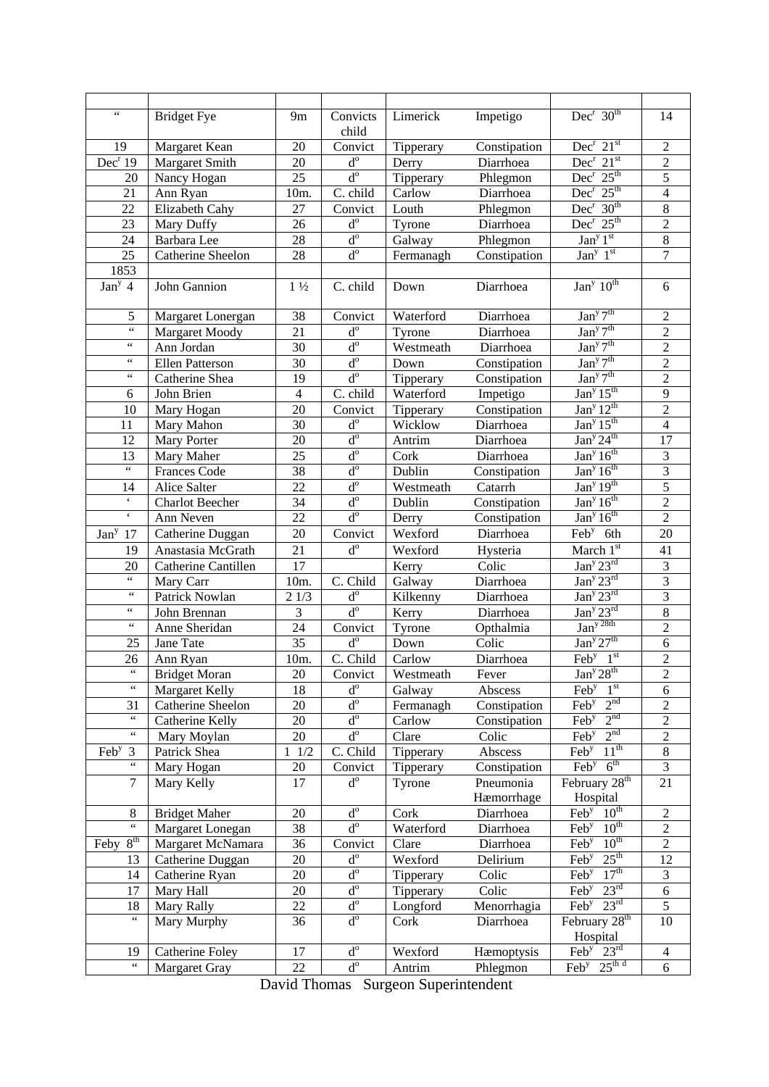| $\zeta$ $\zeta$                                  | <b>Bridget Fye</b>       | 9m              | Convicts                | Limerick         | Impetigo                  | $Dec^r 30^{th}$                                                    | 14             |
|--------------------------------------------------|--------------------------|-----------------|-------------------------|------------------|---------------------------|--------------------------------------------------------------------|----------------|
|                                                  |                          |                 | child                   |                  |                           |                                                                    |                |
| 19                                               | Margaret Kean            | 20              | Convict                 | Tipperary        | Constipation              | $Dec^r 21^{st}$                                                    | $\overline{2}$ |
| Dec <sup>r</sup> 19                              | Margaret Smith           | 20              | $\mathbf{d}^{\text{o}}$ | Derry            | Diarrhoea                 | $Dec^r 21^{st}$                                                    | $\overline{2}$ |
| 20                                               | Nancy Hogan              | 25              | $d^{\circ}$             | Tipperary        | Phlegmon                  | $Dec^r 25^{th}$                                                    | $\overline{5}$ |
| 21                                               | Ann Ryan                 | 10m.            | C. child                | Carlow           | Diarrhoea                 | $Dec^{r} 25^{th}$                                                  | $\overline{4}$ |
| 22                                               | Elizabeth Cahy           | 27              | Convict                 | Louth            | Phlegmon                  | $Dec^r 30^{th}$                                                    | $\,8\,$        |
| 23                                               | Mary Duffy               | 26              | $d^{\rm o}$             | Tyrone           | Diarrhoea                 | $Dec^r 25^{th}$                                                    | $\sqrt{2}$     |
| 24                                               | Barbara Lee              | 28              | $d^{\circ}$             | Galway           | Phlegmon                  | Jan <sup>y</sup> 1 <sup>st</sup>                                   | $\overline{8}$ |
| 25                                               | Catherine Sheelon        | 28              | $d^{\circ}$             | Fermanagh        | Constipation              | Jan <sup>y</sup> 1 <sup>st</sup>                                   | $\overline{7}$ |
| 1853                                             |                          |                 |                         |                  |                           |                                                                    |                |
| Jan <sup>y</sup> 4                               | John Gannion             | $1\frac{1}{2}$  | C. child                | Down             | Diarrhoea                 | Jan <sup>y</sup> $10^{th}$                                         | 6              |
| 5                                                | Margaret Lonergan        | 38              | Convict                 | Waterford        | Diarrhoea                 | $\sqrt{\text{an}^y 7^{\text{th}}}$                                 | $\overline{2}$ |
| $\zeta\,\zeta$                                   | Margaret Moody           | 21              | $d^{\circ}$             | Tyrone           | Diarrhoea                 | Jan <sup>y</sup> 7 <sup>th</sup>                                   | $\overline{2}$ |
| $\zeta\,\zeta$                                   | Ann Jordan               | 30              | $d^{\circ}$             | Westmeath        | Diarrhoea                 | Jan <sup>y</sup> 7 <sup>th</sup>                                   | $\overline{2}$ |
| $\zeta\,\zeta$                                   | <b>Ellen Patterson</b>   | 30              | $d^{\circ}$             | Down             | Constipation              | Jan <sup>y</sup> 7 <sup>th</sup>                                   | $\overline{2}$ |
| $\zeta\,\zeta$                                   | Catherine Shea           | 19              | $d^{\circ}$             | Tipperary        | Constipation              | Jan <sup>y</sup> 7 <sup>th</sup>                                   | $\overline{2}$ |
| 6                                                | John Brien               | $\overline{4}$  | C. child                | Waterford        | Impetigo                  | Jan <sup>y</sup> 15 <sup>th</sup>                                  | $\overline{9}$ |
| 10                                               | Mary Hogan               | 20              | Convict                 | Tipperary        | Constipation              | Jan <sup>y</sup> 12 <sup>th</sup>                                  | $\overline{2}$ |
| 11                                               | Mary Mahon               | 30              | $d^{\circ}$             | Wicklow          | Diarrhoea                 | Jan <sup>y</sup> 15 <sup>th</sup>                                  | $\overline{4}$ |
| 12                                               | Mary Porter              | 20              | $d^{\circ}$             | Antrim           | Diarrhoea                 | Jan <sup>y</sup> 24 <sup>th</sup>                                  | 17             |
| 13                                               | Mary Maher               | 25              | $d^{\circ}$             | Cork             | Diarrhoea                 | Jan <sup>y</sup> 16 <sup>th</sup>                                  | $\overline{3}$ |
| $\zeta\,\zeta$                                   | <b>Frances Code</b>      | 38              | $d^{\circ}$             | Dublin           | Constipation              | Jan <sup>y</sup> 16 <sup>th</sup>                                  | $\overline{3}$ |
| 14                                               | Alice Salter             | 22              | $d^{\circ}$             | Westmeath        | Catarrh                   | Jan <sup>y</sup> 19 <sup>th</sup>                                  | $\overline{5}$ |
| $\mathbf{c}$                                     | <b>Charlot Beecher</b>   | 34              | $d^{\circ}$             | Dublin           | Constipation              | Jan <sup>y</sup> 16 <sup>th</sup>                                  | $\overline{2}$ |
| $\boldsymbol{\varsigma}$                         | Ann Neven                | 22              | $d^{\circ}$             |                  |                           | Jan <sup>y</sup> 16 <sup>th</sup>                                  | $\overline{2}$ |
|                                                  |                          | 20              |                         | Derry<br>Wexford | Constipation<br>Diarrhoea | $\overline{\text{Feb}^y}$ 6th                                      | 20             |
| Jan <sup>y</sup> 17                              | Catherine Duggan         |                 | Convict                 |                  |                           |                                                                    |                |
| 19                                               | Anastasia McGrath        | 21              | $d^{\circ}$             | Wexford          | Hysteria                  | March 1st                                                          | 41             |
| 20<br>$\boldsymbol{\zeta} \, \boldsymbol{\zeta}$ | Catherine Cantillen      | 17              |                         | Kerry            | Colic                     | Jan <sup>y</sup> 23 <sup>rd</sup>                                  | 3              |
| $\zeta$ $\zeta$                                  | Mary Carr                | $10m$ .         | C. Child                | Galway           | Diarrhoea                 | Jan <sup>y</sup> 23 <sup>rd</sup>                                  | $\overline{3}$ |
|                                                  | Patrick Nowlan           | 21/3            | $d^{\circ}$             | Kilkenny         | Diarrhoea                 | Jan <sup>y</sup> 23 <sup>rd</sup>                                  | $\overline{3}$ |
| $\zeta\,\zeta$                                   | John Brennan             | 3               | $d^{\circ}$             | Kerry            | Diarrhoea                 | Jan <sup>y</sup> 23 <sup>rd</sup>                                  | $\overline{8}$ |
| $\zeta\,\zeta$                                   | Anne Sheridan            | 24              | Convict                 | Tyrone           | Opthalmia                 | $\frac{\text{Jan}^{\text{y 28th}}}{\text{Jan}^{\text{y 27}}^{th}}$ | $\overline{2}$ |
| 25                                               | Jane Tate                | 35              | $d^{\circ}$             | Down             | Colic                     |                                                                    | 6              |
| 26                                               | Ann Ryan                 | 10m.            | C. Child                | Carlow           | Diarrhoea                 | $\text{Feb}^{\text{y}}$ 1st                                        | $\overline{c}$ |
| $66 -$                                           | <b>Bridget Moran</b>     | $\overline{20}$ | Convict                 | Westmeath        | Fever                     | Jan <sup>y</sup> 28 <sup>th</sup>                                  | $\overline{2}$ |
| $\zeta\,\zeta$                                   | Margaret Kelly           | 18              | $d^{\rm o}$             | Galway           | Abscess                   | 1 <sup>st</sup><br>$\text{Feb}^{\text{y}}$                         | 6              |
| 31                                               | <b>Catherine Sheelon</b> | 20              | $d^{\circ}$             | Fermanagh        | Constipation              | 2 <sup>nd</sup><br>Feb <sup>y</sup>                                | $\overline{2}$ |
| $\zeta$ $\zeta$                                  | Catherine Kelly          | 20              | $d^{\circ}$             | Carlow           | Constipation              | 2 <sup>nd</sup><br>Fe <sup>y</sup>                                 | $\overline{2}$ |
| $\zeta$ $\zeta$                                  | Mary Moylan              | 20              | $d^{\circ}$             | Clare            | Colic                     | 2 <sup>nd</sup><br>$\overline{\text{Feb}^y}$                       | $\overline{2}$ |
| Feb <sup>y</sup> $3$                             | Patrick Shea             | 1/2             | C. Child                | Tipperary        | Abscess                   | $11^{th}$<br>$\overline{\text{Feb}^{\text{y}}}$                    | 8              |
| $\zeta\,\zeta$                                   | Mary Hogan               | 20              | Convict                 | Tipperary        | Constipation              | 6 <sup>th</sup><br>$\overline{\text{Feb}^y}$                       | 3              |
| $\tau$                                           | Mary Kelly               | 17              | $d^{\circ}$             | Tyrone           | Pneumonia<br>Hæmorrhage   | February 28 <sup>th</sup><br>Hospital                              | 21             |
| 8                                                | <b>Bridget Maher</b>     | 20              | $d^{\circ}$             | Cork             | Diarrhoea                 | $\overline{\text{Feb}^{\text{y}} \quad 10^{\text{th}}}$            | $\overline{2}$ |
| $\overline{\mathfrak{c}}$                        | Margaret Lonegan         | 38              | $d^{\circ}$             | Waterford        | Diarrhoea                 | $\text{Feb}^{\text{y}}$ 10 <sup>th</sup>                           | $\overline{2}$ |
| 8 <sup>th</sup><br>Feby                          | Margaret McNamara        | 36              | Convict                 | Clare            | Diarrhoea                 | $\text{Feb}^{\text{y}}$ 10 <sup>th</sup>                           | $\overline{2}$ |
| 13                                               | Catherine Duggan         | 20              | $d^{\circ}$             | Wexford          | Delirium                  | Feb <sup>y</sup> $25th$                                            | 12             |
| 14                                               | Catherine Ryan           | 20              | $d^{\circ}$             | Tipperary        | Colic                     | $\text{Feb}^{\text{y}}$ 17 <sup>th</sup>                           | $\overline{3}$ |
| 17                                               | Mary Hall                | 20              | $d^{\circ}$             | Tipperary        | Colic                     | Feb <sup>y</sup> $23^{\text{rd}}$                                  | 6              |
| 18                                               | Mary Rally               | 22              | $d^{\circ}$             | Longford         | Menorrhagia               | Feb <sup>y</sup> $23^{\text{rd}}$                                  | $\overline{5}$ |
| $\zeta\,\zeta$                                   | Mary Murphy              | 36              | $d^{\circ}$             | Cork             | Diarrhoea                 | February 28 <sup>th</sup><br>Hospital                              | 10             |
| 19                                               | Catherine Foley          | 17              | $d^{\circ}$             | Wexford          | Hæmoptysis                | $\overline{\text{Feb}^{\text{y}}\ 23^{\text{rd}}}$                 | $\overline{4}$ |
| $\epsilon\,\epsilon$                             | Margaret Gray            | 22              | $d^{\circ}$             | Antrim           | Phlegmon                  | Feb <sup>y</sup> $25^{\text{th d}}$                                | 6              |
|                                                  |                          |                 |                         |                  |                           |                                                                    |                |

David Thomas Surgeon Superintendent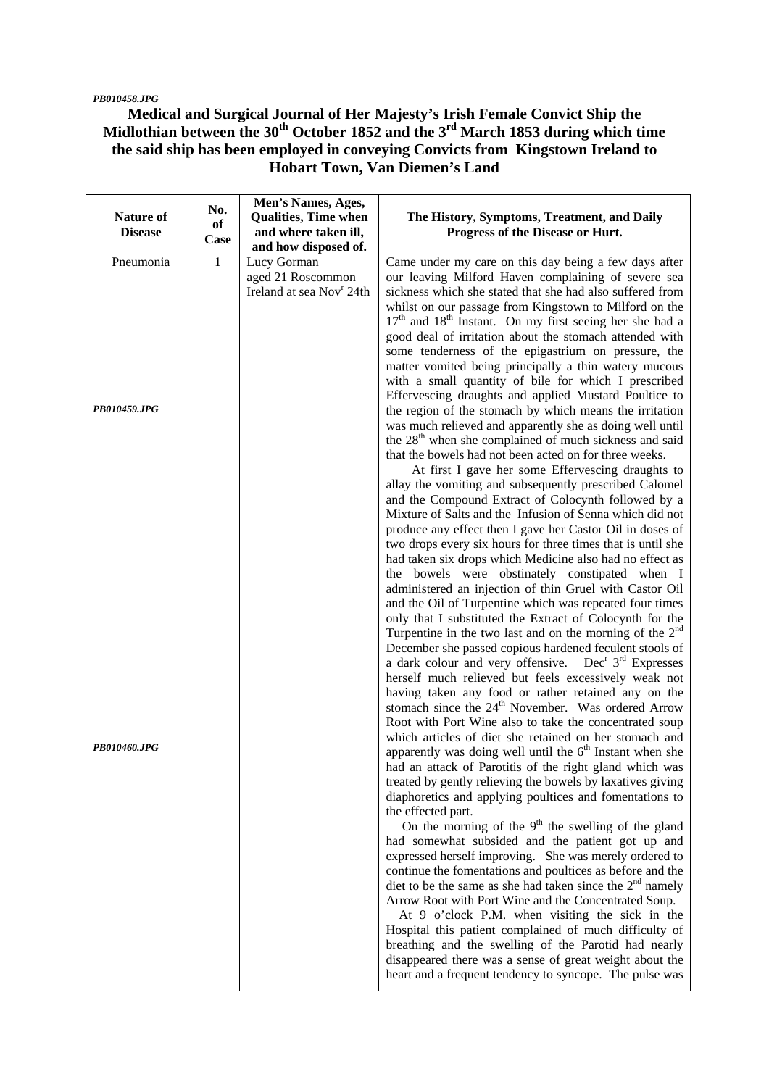#### *PB010458.JPG*

### **Medical and Surgical Journal of Her Majesty's Irish Female Convict Ship the**  Midlothian between the 30<sup>th</sup> October 1852 and the 3<sup>rd</sup> March 1853 during which time **the said ship has been employed in conveying Convicts from Kingstown Ireland to Hobart Town, Van Diemen's Land**

| The History, Symptoms, Treatment, and Daily<br>Progress of the Disease or Hurt.                                                                                                                                                                                                                                                                                                                                                                                                                                                                                                                                                                    |
|----------------------------------------------------------------------------------------------------------------------------------------------------------------------------------------------------------------------------------------------------------------------------------------------------------------------------------------------------------------------------------------------------------------------------------------------------------------------------------------------------------------------------------------------------------------------------------------------------------------------------------------------------|
| Came under my care on this day being a few days after<br>our leaving Milford Haven complaining of severe sea<br>sickness which she stated that she had also suffered from<br>whilst on our passage from Kingstown to Milford on the<br>17 <sup>th</sup> and 18 <sup>th</sup> Instant. On my first seeing her she had a<br>good deal of irritation about the stomach attended with<br>some tenderness of the epigastrium on pressure, the                                                                                                                                                                                                           |
| matter vomited being principally a thin watery mucous<br>with a small quantity of bile for which I prescribed<br>Effervescing draughts and applied Mustard Poultice to<br>the region of the stomach by which means the irritation<br>was much relieved and apparently she as doing well until<br>the 28 <sup>th</sup> when she complained of much sickness and said<br>that the bowels had not been acted on for three weeks.<br>At first I gave her some Effervescing draughts to                                                                                                                                                                 |
| allay the vomiting and subsequently prescribed Calomel<br>and the Compound Extract of Colocynth followed by a<br>Mixture of Salts and the Infusion of Senna which did not<br>produce any effect then I gave her Castor Oil in doses of<br>two drops every six hours for three times that is until she<br>had taken six drops which Medicine also had no effect as<br>the bowels were obstinately constipated when I                                                                                                                                                                                                                                |
| administered an injection of thin Gruel with Castor Oil<br>and the Oil of Turpentine which was repeated four times<br>only that I substituted the Extract of Colocynth for the<br>Turpentine in the two last and on the morning of the $2nd$<br>December she passed copious hardened feculent stools of<br>a dark colour and very offensive. Dec <sup>r</sup> 3 <sup>rd</sup> Expresses<br>herself much relieved but feels excessively weak not                                                                                                                                                                                                    |
| having taken any food or rather retained any on the<br>stomach since the 24 <sup>th</sup> November. Was ordered Arrow<br>Root with Port Wine also to take the concentrated soup<br>which articles of diet she retained on her stomach and<br>apparently was doing well until the $6th$ Instant when she<br>had an attack of Parotitis of the right gland which was<br>treated by gently relieving the bowels by laxatives giving<br>diaphoretics and applying poultices and fomentations to<br>the effected part.                                                                                                                                  |
| On the morning of the $9th$ the swelling of the gland<br>had somewhat subsided and the patient got up and<br>expressed herself improving. She was merely ordered to<br>continue the fomentations and poultices as before and the<br>diet to be the same as she had taken since the $2nd$ namely<br>Arrow Root with Port Wine and the Concentrated Soup.<br>At 9 o'clock P.M. when visiting the sick in the<br>Hospital this patient complained of much difficulty of<br>breathing and the swelling of the Parotid had nearly<br>disappeared there was a sense of great weight about the<br>heart and a frequent tendency to syncope. The pulse was |
|                                                                                                                                                                                                                                                                                                                                                                                                                                                                                                                                                                                                                                                    |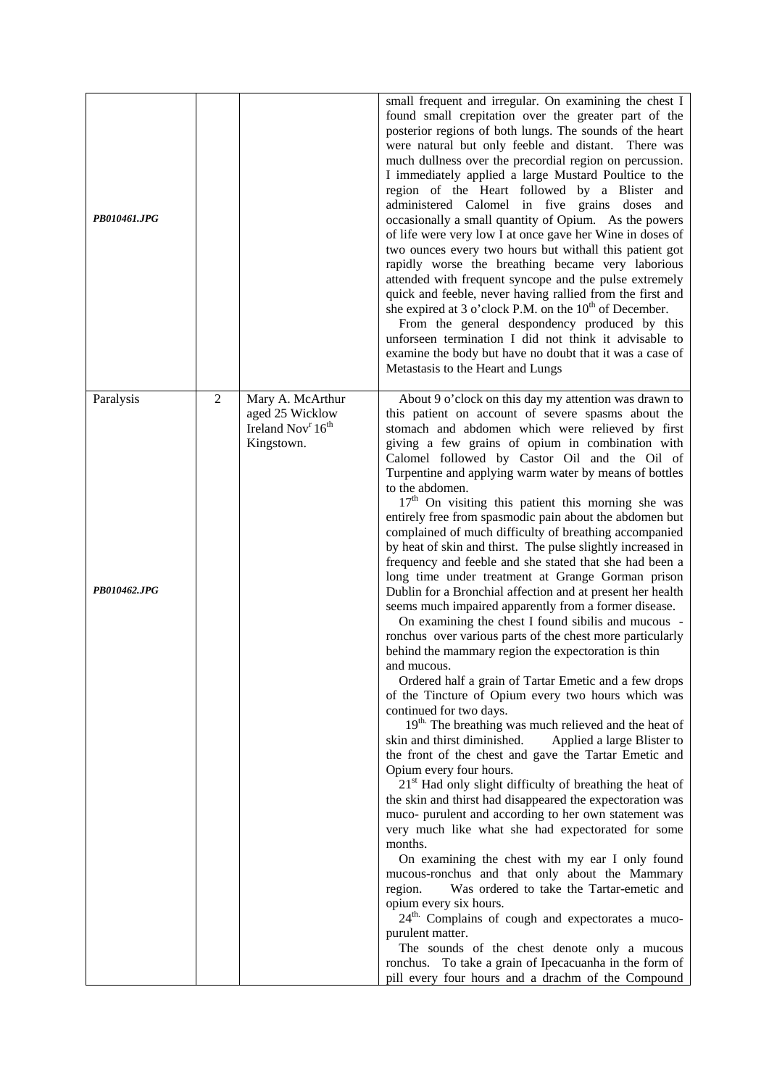| PB010461.JPG              |                |                                                                                                | small frequent and irregular. On examining the chest I<br>found small crepitation over the greater part of the<br>posterior regions of both lungs. The sounds of the heart<br>were natural but only feeble and distant. There was<br>much dullness over the precordial region on percussion.<br>I immediately applied a large Mustard Poultice to the<br>region of the Heart followed by a Blister<br>and<br>administered Calomel in five grains doses<br>and<br>occasionally a small quantity of Opium. As the powers<br>of life were very low I at once gave her Wine in doses of<br>two ounces every two hours but withall this patient got<br>rapidly worse the breathing became very laborious<br>attended with frequent syncope and the pulse extremely<br>quick and feeble, never having rallied from the first and<br>she expired at 3 o'clock P.M. on the $10^{th}$ of December.<br>From the general despondency produced by this<br>unforseen termination I did not think it advisable to<br>examine the body but have no doubt that it was a case of<br>Metastasis to the Heart and Lungs                                                                                                                                                                                                                                                                                                                                                                                                                                                                                                                                                                                                                                                                                                                                                                                                                                                                                                                                                                                                               |
|---------------------------|----------------|------------------------------------------------------------------------------------------------|--------------------------------------------------------------------------------------------------------------------------------------------------------------------------------------------------------------------------------------------------------------------------------------------------------------------------------------------------------------------------------------------------------------------------------------------------------------------------------------------------------------------------------------------------------------------------------------------------------------------------------------------------------------------------------------------------------------------------------------------------------------------------------------------------------------------------------------------------------------------------------------------------------------------------------------------------------------------------------------------------------------------------------------------------------------------------------------------------------------------------------------------------------------------------------------------------------------------------------------------------------------------------------------------------------------------------------------------------------------------------------------------------------------------------------------------------------------------------------------------------------------------------------------------------------------------------------------------------------------------------------------------------------------------------------------------------------------------------------------------------------------------------------------------------------------------------------------------------------------------------------------------------------------------------------------------------------------------------------------------------------------------------------------------------------------------------------------------------------------------|
| Paralysis<br>PB010462.JPG | $\overline{2}$ | Mary A. McArthur<br>aged 25 Wicklow<br>Ireland Nov <sup>r</sup> 16 <sup>th</sup><br>Kingstown. | About 9 o'clock on this day my attention was drawn to<br>this patient on account of severe spasms about the<br>stomach and abdomen which were relieved by first<br>giving a few grains of opium in combination with<br>Calomel followed by Castor Oil and the Oil of<br>Turpentine and applying warm water by means of bottles<br>to the abdomen.<br>17 <sup>th</sup> On visiting this patient this morning she was<br>entirely free from spasmodic pain about the abdomen but<br>complained of much difficulty of breathing accompanied<br>by heat of skin and thirst. The pulse slightly increased in<br>frequency and feeble and she stated that she had been a<br>long time under treatment at Grange Gorman prison<br>Dublin for a Bronchial affection and at present her health<br>seems much impaired apparently from a former disease.<br>On examining the chest I found sibilis and mucous -<br>ronchus over various parts of the chest more particularly<br>behind the mammary region the expectoration is thin<br>and mucous.<br>Ordered half a grain of Tartar Emetic and a few drops<br>of the Tincture of Opium every two hours which was<br>continued for two days.<br>19 <sup>th.</sup> The breathing was much relieved and the heat of<br>skin and thirst diminished.<br>Applied a large Blister to<br>the front of the chest and gave the Tartar Emetic and<br>Opium every four hours.<br>21 <sup>st</sup> Had only slight difficulty of breathing the heat of<br>the skin and thirst had disappeared the expectoration was<br>muco- purulent and according to her own statement was<br>very much like what she had expectorated for some<br>months.<br>On examining the chest with my ear I only found<br>mucous-ronchus and that only about the Mammary<br>Was ordered to take the Tartar-emetic and<br>region.<br>opium every six hours.<br>24 <sup>th.</sup> Complains of cough and expectorates a muco-<br>purulent matter.<br>The sounds of the chest denote only a mucous<br>ronchus. To take a grain of Ipecacuanha in the form of<br>pill every four hours and a drachm of the Compound |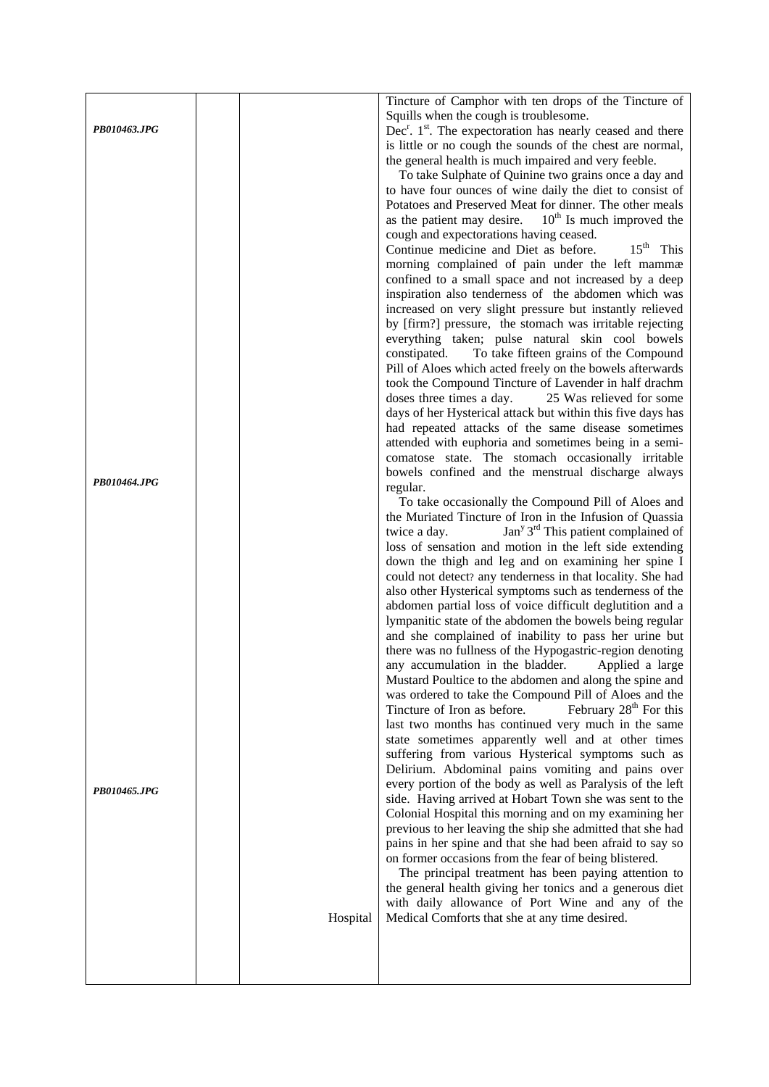|              |          | Tincture of Camphor with ten drops of the Tincture of                                                          |
|--------------|----------|----------------------------------------------------------------------------------------------------------------|
|              |          | Squills when the cough is troublesome.                                                                         |
| PB010463.JPG |          | Dec <sup>r</sup> . 1 <sup>st</sup> . The expectoration has nearly ceased and there                             |
|              |          | is little or no cough the sounds of the chest are normal,                                                      |
|              |          | the general health is much impaired and very feeble.                                                           |
|              |          | To take Sulphate of Quinine two grains once a day and                                                          |
|              |          | to have four ounces of wine daily the diet to consist of                                                       |
|              |          | Potatoes and Preserved Meat for dinner. The other meals                                                        |
|              |          | as the patient may desire. $10th$ Is much improved the                                                         |
|              |          | cough and expectorations having ceased.<br>$15th$ This                                                         |
|              |          | Continue medicine and Diet as before.<br>morning complained of pain under the left mammæ                       |
|              |          | confined to a small space and not increased by a deep                                                          |
|              |          | inspiration also tenderness of the abdomen which was                                                           |
|              |          | increased on very slight pressure but instantly relieved                                                       |
|              |          | by [firm?] pressure, the stomach was irritable rejecting                                                       |
|              |          | everything taken; pulse natural skin cool bowels                                                               |
|              |          | constipated.<br>To take fifteen grains of the Compound                                                         |
|              |          | Pill of Aloes which acted freely on the bowels afterwards                                                      |
|              |          | took the Compound Tincture of Lavender in half drachm                                                          |
|              |          | doses three times a day.<br>25 Was relieved for some                                                           |
|              |          | days of her Hysterical attack but within this five days has                                                    |
|              |          | had repeated attacks of the same disease sometimes                                                             |
|              |          | attended with euphoria and sometimes being in a semi-                                                          |
|              |          | comatose state. The stomach occasionally irritable                                                             |
| PB010464.JPG |          | bowels confined and the menstrual discharge always<br>regular.                                                 |
|              |          | To take occasionally the Compound Pill of Aloes and                                                            |
|              |          | the Muriated Tincture of Iron in the Infusion of Quassia                                                       |
|              |          | $Jany 3rd$ This patient complained of<br>twice a day.                                                          |
|              |          | loss of sensation and motion in the left side extending                                                        |
|              |          | down the thigh and leg and on examining her spine I                                                            |
|              |          | could not detect? any tenderness in that locality. She had                                                     |
|              |          | also other Hysterical symptoms such as tenderness of the                                                       |
|              |          | abdomen partial loss of voice difficult deglutition and a                                                      |
|              |          | lympanitic state of the abdomen the bowels being regular                                                       |
|              |          | and she complained of inability to pass her urine but                                                          |
|              |          | there was no fullness of the Hypogastric-region denoting                                                       |
|              |          | any accumulation in the bladder.<br>Applied a large<br>Mustard Poultice to the abdomen and along the spine and |
|              |          | was ordered to take the Compound Pill of Aloes and the                                                         |
|              |          | February 28 <sup>th</sup> For this<br>Tincture of Iron as before.                                              |
|              |          | last two months has continued very much in the same                                                            |
|              |          | state sometimes apparently well and at other times                                                             |
|              |          | suffering from various Hysterical symptoms such as                                                             |
|              |          | Delirium. Abdominal pains vomiting and pains over                                                              |
| PB010465.JPG |          | every portion of the body as well as Paralysis of the left                                                     |
|              |          | side. Having arrived at Hobart Town she was sent to the                                                        |
|              |          | Colonial Hospital this morning and on my examining her                                                         |
|              |          | previous to her leaving the ship she admitted that she had                                                     |
|              |          | pains in her spine and that she had been afraid to say so                                                      |
|              |          | on former occasions from the fear of being blistered.<br>The principal treatment has been paying attention to  |
|              |          | the general health giving her tonics and a generous diet                                                       |
|              |          | with daily allowance of Port Wine and any of the                                                               |
|              | Hospital | Medical Comforts that she at any time desired.                                                                 |
|              |          |                                                                                                                |
|              |          |                                                                                                                |
|              |          |                                                                                                                |
|              |          |                                                                                                                |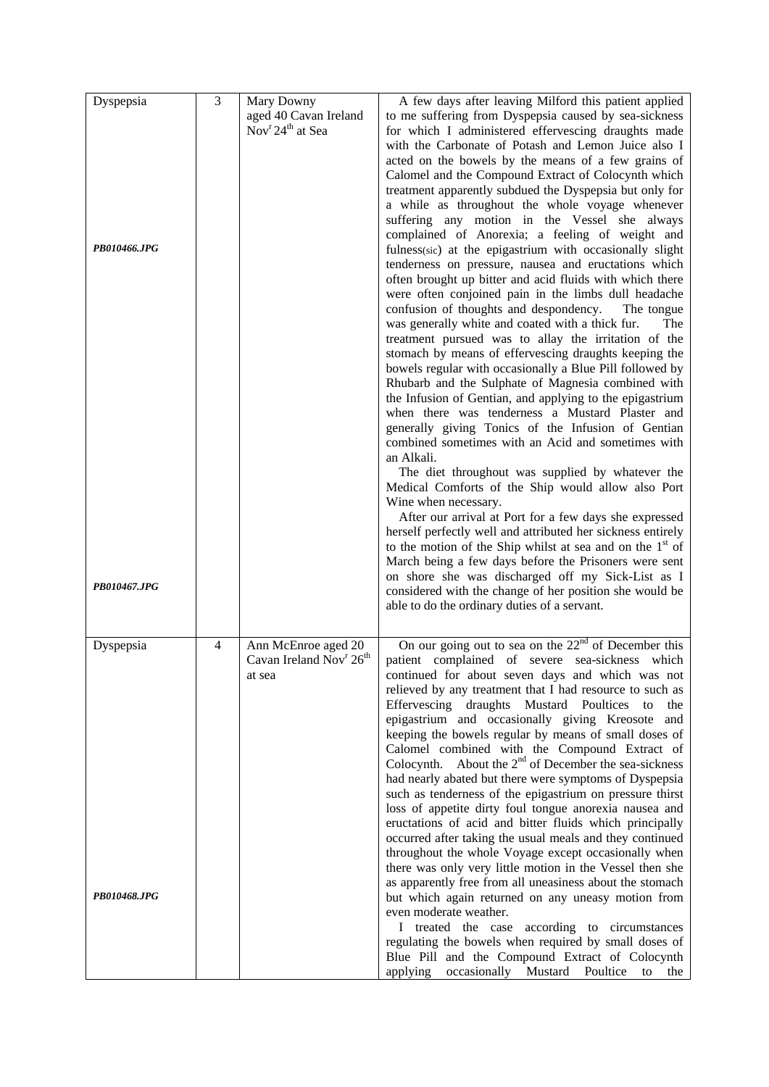| Dyspepsia<br>PB010466.JPG | 3 | Mary Downy<br>aged 40 Cavan Ireland<br>Nov <sup>r</sup> 24 <sup>th</sup> at Sea  | A few days after leaving Milford this patient applied<br>to me suffering from Dyspepsia caused by sea-sickness<br>for which I administered effervescing draughts made<br>with the Carbonate of Potash and Lemon Juice also I<br>acted on the bowels by the means of a few grains of<br>Calomel and the Compound Extract of Colocynth which<br>treatment apparently subdued the Dyspepsia but only for<br>a while as throughout the whole voyage whenever<br>suffering any motion in the Vessel she always<br>complained of Anorexia; a feeling of weight and<br>fulness(sic) at the epigastrium with occasionally slight<br>tenderness on pressure, nausea and eructations which<br>often brought up bitter and acid fluids with which there<br>were often conjoined pain in the limbs dull headache<br>confusion of thoughts and despondency.<br>The tongue<br>was generally white and coated with a thick fur.<br>The<br>treatment pursued was to allay the irritation of the<br>stomach by means of effervescing draughts keeping the<br>bowels regular with occasionally a Blue Pill followed by |
|---------------------------|---|----------------------------------------------------------------------------------|------------------------------------------------------------------------------------------------------------------------------------------------------------------------------------------------------------------------------------------------------------------------------------------------------------------------------------------------------------------------------------------------------------------------------------------------------------------------------------------------------------------------------------------------------------------------------------------------------------------------------------------------------------------------------------------------------------------------------------------------------------------------------------------------------------------------------------------------------------------------------------------------------------------------------------------------------------------------------------------------------------------------------------------------------------------------------------------------------|
|                           |   |                                                                                  | Rhubarb and the Sulphate of Magnesia combined with<br>the Infusion of Gentian, and applying to the epigastrium<br>when there was tenderness a Mustard Plaster and<br>generally giving Tonics of the Infusion of Gentian<br>combined sometimes with an Acid and sometimes with<br>an Alkali.<br>The diet throughout was supplied by whatever the                                                                                                                                                                                                                                                                                                                                                                                                                                                                                                                                                                                                                                                                                                                                                      |
|                           |   |                                                                                  | Medical Comforts of the Ship would allow also Port<br>Wine when necessary.<br>After our arrival at Port for a few days she expressed<br>herself perfectly well and attributed her sickness entirely<br>to the motion of the Ship whilst at sea and on the $1st$ of                                                                                                                                                                                                                                                                                                                                                                                                                                                                                                                                                                                                                                                                                                                                                                                                                                   |
| PB010467.JPG              |   |                                                                                  | March being a few days before the Prisoners were sent<br>on shore she was discharged off my Sick-List as I<br>considered with the change of her position she would be<br>able to do the ordinary duties of a servant.                                                                                                                                                                                                                                                                                                                                                                                                                                                                                                                                                                                                                                                                                                                                                                                                                                                                                |
| Dyspepsia                 | 4 | Ann McEnroe aged 20<br>Cavan Ireland Nov <sup>r</sup> 26 <sup>th</sup><br>at sea | On our going out to sea on the $22^{\text{nd}}$ of December this<br>patient complained of severe sea-sickness which<br>continued for about seven days and which was not<br>relieved by any treatment that I had resource to such as<br>Effervescing draughts Mustard Poultices<br>the<br>to<br>epigastrium and occasionally giving Kreosote<br>and<br>keeping the bowels regular by means of small doses of<br>Calomel combined with the Compound Extract of<br>Colocynth. About the 2 <sup>nd</sup> of December the sea-sickness<br>had nearly abated but there were symptoms of Dyspepsia<br>such as tenderness of the epigastrium on pressure thirst<br>loss of appetite dirty foul tongue anorexia nausea and<br>eructations of acid and bitter fluids which principally<br>occurred after taking the usual meals and they continued<br>throughout the whole Voyage except occasionally when<br>there was only very little motion in the Vessel then she                                                                                                                                         |
| PB010468.JPG              |   |                                                                                  | as apparently free from all uneasiness about the stomach<br>but which again returned on any uneasy motion from<br>even moderate weather.<br>I treated the case according to circumstances<br>regulating the bowels when required by small doses of<br>Blue Pill and the Compound Extract of Colocynth<br>applying<br>occasionally Mustard Poultice<br>to the                                                                                                                                                                                                                                                                                                                                                                                                                                                                                                                                                                                                                                                                                                                                         |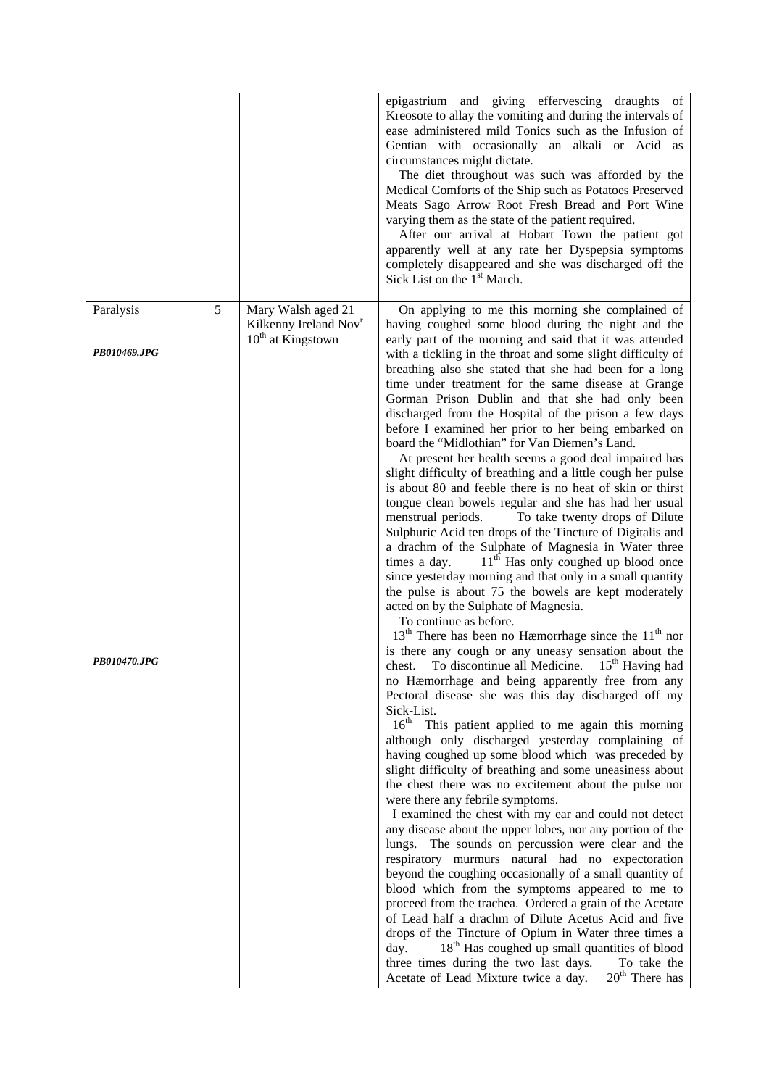|                           |   |                                                                                | epigastrium and giving effervescing draughts of<br>Kreosote to allay the vomiting and during the intervals of<br>ease administered mild Tonics such as the Infusion of<br>Gentian with occasionally an alkali or Acid as<br>circumstances might dictate.<br>The diet throughout was such was afforded by the<br>Medical Comforts of the Ship such as Potatoes Preserved<br>Meats Sago Arrow Root Fresh Bread and Port Wine<br>varying them as the state of the patient required.<br>After our arrival at Hobart Town the patient got<br>apparently well at any rate her Dyspepsia symptoms<br>completely disappeared and she was discharged off the<br>Sick List on the 1 <sup>st</sup> March.                                                                                                                                                                                                                                                                                                                                                                                                                                                                                                                                                                                                                                                                                 |
|---------------------------|---|--------------------------------------------------------------------------------|--------------------------------------------------------------------------------------------------------------------------------------------------------------------------------------------------------------------------------------------------------------------------------------------------------------------------------------------------------------------------------------------------------------------------------------------------------------------------------------------------------------------------------------------------------------------------------------------------------------------------------------------------------------------------------------------------------------------------------------------------------------------------------------------------------------------------------------------------------------------------------------------------------------------------------------------------------------------------------------------------------------------------------------------------------------------------------------------------------------------------------------------------------------------------------------------------------------------------------------------------------------------------------------------------------------------------------------------------------------------------------|
| Paralysis<br>PB010469.JPG | 5 | Mary Walsh aged 21<br>Kilkenny Ireland Nov <sup>r</sup><br>$10th$ at Kingstown | On applying to me this morning she complained of<br>having coughed some blood during the night and the<br>early part of the morning and said that it was attended<br>with a tickling in the throat and some slight difficulty of<br>breathing also she stated that she had been for a long<br>time under treatment for the same disease at Grange<br>Gorman Prison Dublin and that she had only been<br>discharged from the Hospital of the prison a few days<br>before I examined her prior to her being embarked on<br>board the "Midlothian" for Van Diemen's Land.<br>At present her health seems a good deal impaired has<br>slight difficulty of breathing and a little cough her pulse<br>is about 80 and feeble there is no heat of skin or thirst<br>tongue clean bowels regular and she has had her usual<br>menstrual periods.<br>To take twenty drops of Dilute<br>Sulphuric Acid ten drops of the Tincture of Digitalis and<br>a drachm of the Sulphate of Magnesia in Water three<br>11 <sup>th</sup> Has only coughed up blood once<br>times a day.<br>since yesterday morning and that only in a small quantity<br>the pulse is about 75 the bowels are kept moderately<br>acted on by the Sulphate of Magnesia.<br>To continue as before.<br>$13th$ There has been no Hæmorrhage since the $11th$ nor<br>is there any cough or any uneasy sensation about the |
| PB010470.JPG              |   |                                                                                | chest. To discontinue all Medicine. $15th$ Having had<br>no Hæmorrhage and being apparently free from any<br>Pectoral disease she was this day discharged off my<br>Sick-List.<br>16 <sup>th</sup> This patient applied to me again this morning<br>although only discharged yesterday complaining of<br>having coughed up some blood which was preceded by<br>slight difficulty of breathing and some uneasiness about<br>the chest there was no excitement about the pulse nor<br>were there any febrile symptoms.<br>I examined the chest with my ear and could not detect<br>any disease about the upper lobes, nor any portion of the<br>lungs. The sounds on percussion were clear and the<br>respiratory murmurs natural had no expectoration<br>beyond the coughing occasionally of a small quantity of<br>blood which from the symptoms appeared to me to<br>proceed from the trachea. Ordered a grain of the Acetate<br>of Lead half a drachm of Dilute Acetus Acid and five<br>drops of the Tincture of Opium in Water three times a<br>$18th$ Has coughed up small quantities of blood<br>day.<br>three times during the two last days.<br>To take the<br>$20^{\text{th}}$ There has<br>Acetate of Lead Mixture twice a day.                                                                                                                                       |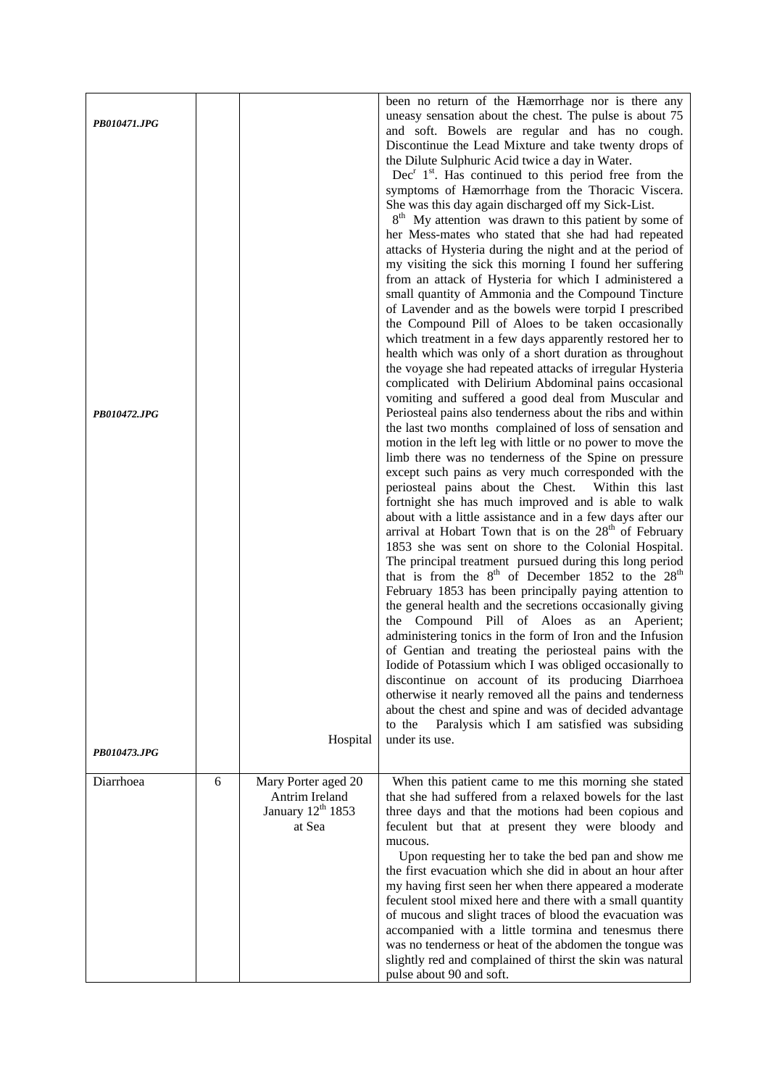| PB010471.JPG<br>PB010472.JPG |   |                                                                                  | been no return of the Hæmorrhage nor is there any<br>uneasy sensation about the chest. The pulse is about 75<br>and soft. Bowels are regular and has no cough.<br>Discontinue the Lead Mixture and take twenty drops of<br>the Dilute Sulphuric Acid twice a day in Water.<br>$Decr 1st$ . Has continued to this period free from the<br>symptoms of Hæmorrhage from the Thoracic Viscera.<br>She was this day again discharged off my Sick-List.<br>8 <sup>th</sup> My attention was drawn to this patient by some of<br>her Mess-mates who stated that she had had repeated<br>attacks of Hysteria during the night and at the period of<br>my visiting the sick this morning I found her suffering<br>from an attack of Hysteria for which I administered a<br>small quantity of Ammonia and the Compound Tincture<br>of Lavender and as the bowels were torpid I prescribed<br>the Compound Pill of Aloes to be taken occasionally<br>which treatment in a few days apparently restored her to<br>health which was only of a short duration as throughout<br>the voyage she had repeated attacks of irregular Hysteria<br>complicated with Delirium Abdominal pains occasional<br>vomiting and suffered a good deal from Muscular and<br>Periosteal pains also tenderness about the ribs and within<br>the last two months complained of loss of sensation and<br>motion in the left leg with little or no power to move the<br>limb there was no tenderness of the Spine on pressure<br>except such pains as very much corresponded with the<br>periosteal pains about the Chest. Within this last<br>fortnight she has much improved and is able to walk<br>about with a little assistance and in a few days after our<br>arrival at Hobart Town that is on the 28 <sup>th</sup> of February<br>1853 she was sent on shore to the Colonial Hospital. |
|------------------------------|---|----------------------------------------------------------------------------------|------------------------------------------------------------------------------------------------------------------------------------------------------------------------------------------------------------------------------------------------------------------------------------------------------------------------------------------------------------------------------------------------------------------------------------------------------------------------------------------------------------------------------------------------------------------------------------------------------------------------------------------------------------------------------------------------------------------------------------------------------------------------------------------------------------------------------------------------------------------------------------------------------------------------------------------------------------------------------------------------------------------------------------------------------------------------------------------------------------------------------------------------------------------------------------------------------------------------------------------------------------------------------------------------------------------------------------------------------------------------------------------------------------------------------------------------------------------------------------------------------------------------------------------------------------------------------------------------------------------------------------------------------------------------------------------------------------------------------------------------------------------------------------------------------------------------------------------------------------|
|                              |   |                                                                                  | The principal treatment pursued during this long period<br>that is from the $8^{th}$ of December 1852 to the $28^{th}$<br>February 1853 has been principally paying attention to<br>the general health and the secretions occasionally giving<br>the Compound Pill of Aloes as an Aperient;<br>administering tonics in the form of Iron and the Infusion<br>of Gentian and treating the periosteal pains with the<br>Iodide of Potassium which I was obliged occasionally to<br>discontinue on account of its producing Diarrhoea<br>otherwise it nearly removed all the pains and tenderness<br>about the chest and spine and was of decided advantage<br>Paralysis which I am satisfied was subsiding<br>to the                                                                                                                                                                                                                                                                                                                                                                                                                                                                                                                                                                                                                                                                                                                                                                                                                                                                                                                                                                                                                                                                                                                                          |
| PB010473.JPG                 |   | Hospital                                                                         | under its use.                                                                                                                                                                                                                                                                                                                                                                                                                                                                                                                                                                                                                                                                                                                                                                                                                                                                                                                                                                                                                                                                                                                                                                                                                                                                                                                                                                                                                                                                                                                                                                                                                                                                                                                                                                                                                                             |
| Diarrhoea                    | 6 | Mary Porter aged 20<br>Antrim Ireland<br>January 12 <sup>th</sup> 1853<br>at Sea | When this patient came to me this morning she stated<br>that she had suffered from a relaxed bowels for the last<br>three days and that the motions had been copious and<br>feculent but that at present they were bloody and<br>mucous.<br>Upon requesting her to take the bed pan and show me<br>the first evacuation which she did in about an hour after<br>my having first seen her when there appeared a moderate<br>feculent stool mixed here and there with a small quantity<br>of mucous and slight traces of blood the evacuation was<br>accompanied with a little tormina and tenesmus there<br>was no tenderness or heat of the abdomen the tongue was<br>slightly red and complained of thirst the skin was natural<br>pulse about 90 and soft.                                                                                                                                                                                                                                                                                                                                                                                                                                                                                                                                                                                                                                                                                                                                                                                                                                                                                                                                                                                                                                                                                               |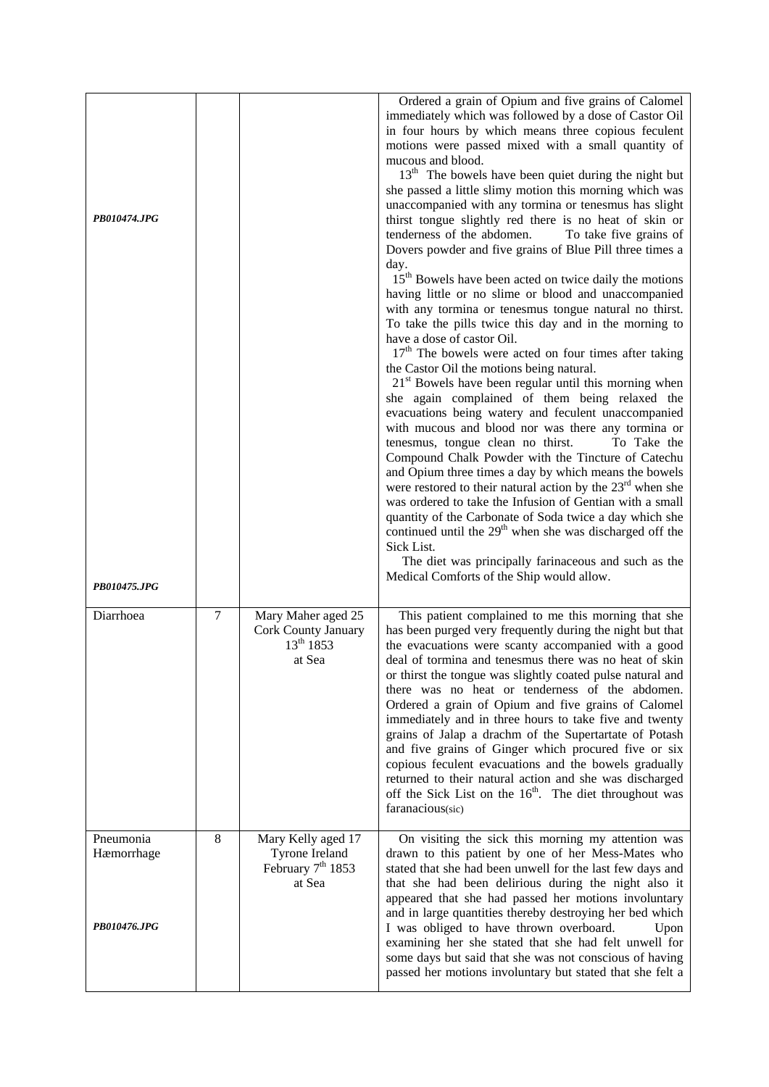| PB010474.JPG                            |                |                                                                       | Ordered a grain of Opium and five grains of Calomel<br>immediately which was followed by a dose of Castor Oil<br>in four hours by which means three copious feculent<br>motions were passed mixed with a small quantity of<br>mucous and blood.<br>13 <sup>th</sup> The bowels have been quiet during the night but<br>she passed a little slimy motion this morning which was<br>unaccompanied with any tormina or tenesmus has slight<br>thirst tongue slightly red there is no heat of skin or<br>tenderness of the abdomen.<br>To take five grains of<br>Dovers powder and five grains of Blue Pill three times a<br>day.<br>15 <sup>th</sup> Bowels have been acted on twice daily the motions<br>having little or no slime or blood and unaccompanied<br>with any tormina or tenesmus tongue natural no thirst.<br>To take the pills twice this day and in the morning to<br>have a dose of castor Oil.<br>$17th$ The bowels were acted on four times after taking<br>the Castor Oil the motions being natural.<br>$21st$ Bowels have been regular until this morning when<br>she again complained of them being relaxed the<br>evacuations being watery and feculent unaccompanied<br>with mucous and blood nor was there any tormina or<br>tenesmus, tongue clean no thirst.<br>To Take the<br>Compound Chalk Powder with the Tincture of Catechu<br>and Opium three times a day by which means the bowels<br>were restored to their natural action by the $23^{\text{rd}}$ when she<br>was ordered to take the Infusion of Gentian with a small<br>quantity of the Carbonate of Soda twice a day which she<br>continued until the $29th$ when she was discharged off the<br>Sick List.<br>The diet was principally farinaceous and such as the |
|-----------------------------------------|----------------|-----------------------------------------------------------------------|---------------------------------------------------------------------------------------------------------------------------------------------------------------------------------------------------------------------------------------------------------------------------------------------------------------------------------------------------------------------------------------------------------------------------------------------------------------------------------------------------------------------------------------------------------------------------------------------------------------------------------------------------------------------------------------------------------------------------------------------------------------------------------------------------------------------------------------------------------------------------------------------------------------------------------------------------------------------------------------------------------------------------------------------------------------------------------------------------------------------------------------------------------------------------------------------------------------------------------------------------------------------------------------------------------------------------------------------------------------------------------------------------------------------------------------------------------------------------------------------------------------------------------------------------------------------------------------------------------------------------------------------------------------------------------------------------------------------------------------------------------|
| PB010475.JPG<br>Diarrhoea               | $\overline{7}$ | Mary Maher aged 25<br>Cork County January<br>$13^{th}$ 1853<br>at Sea | Medical Comforts of the Ship would allow.<br>This patient complained to me this morning that she<br>has been purged very frequently during the night but that<br>the evacuations were scanty accompanied with a good<br>deal of tormina and tenesmus there was no heat of skin<br>or thirst the tongue was slightly coated pulse natural and<br>there was no heat or tenderness of the abdomen.<br>Ordered a grain of Opium and five grains of Calomel<br>immediately and in three hours to take five and twenty<br>grains of Jalap a drachm of the Supertartate of Potash<br>and five grains of Ginger which procured five or six<br>copious feculent evacuations and the bowels gradually<br>returned to their natural action and she was discharged<br>off the Sick List on the 16 <sup>th</sup> . The diet throughout was<br>faranacious(sic)                                                                                                                                                                                                                                                                                                                                                                                                                                                                                                                                                                                                                                                                                                                                                                                                                                                                                                       |
| Pneumonia<br>Hæmorrhage<br>PB010476.JPG | 8              | Mary Kelly aged 17<br>Tyrone Ireland<br>February $7th 1853$<br>at Sea | On visiting the sick this morning my attention was<br>drawn to this patient by one of her Mess-Mates who<br>stated that she had been unwell for the last few days and<br>that she had been delirious during the night also it<br>appeared that she had passed her motions involuntary<br>and in large quantities thereby destroying her bed which<br>I was obliged to have thrown overboard.<br>Upon<br>examining her she stated that she had felt unwell for<br>some days but said that she was not conscious of having<br>passed her motions involuntary but stated that she felt a                                                                                                                                                                                                                                                                                                                                                                                                                                                                                                                                                                                                                                                                                                                                                                                                                                                                                                                                                                                                                                                                                                                                                                   |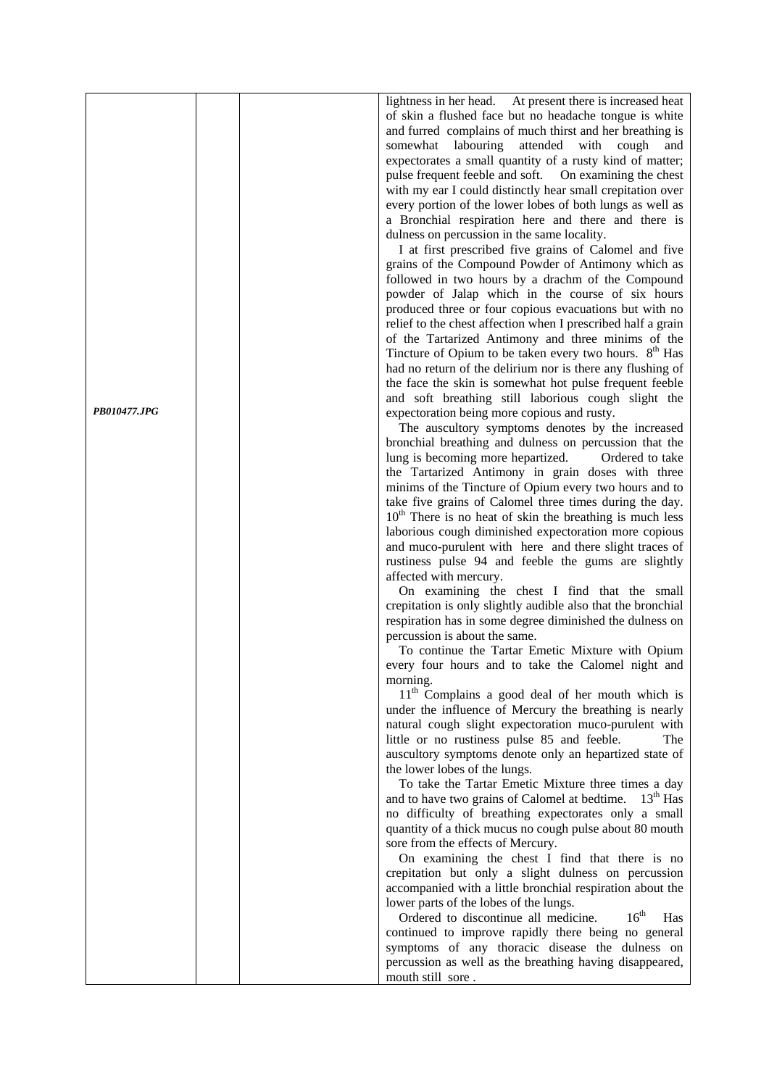|              |  | lightness in her head. At present there is increased heat          |
|--------------|--|--------------------------------------------------------------------|
|              |  | of skin a flushed face but no headache tongue is white             |
|              |  | and furred complains of much thirst and her breathing is           |
|              |  | labouring<br>attended with<br>somewhat<br>cough<br>and             |
|              |  | expectorates a small quantity of a rusty kind of matter;           |
|              |  | pulse frequent feeble and soft. On examining the chest             |
|              |  | with my ear I could distinctly hear small crepitation over         |
|              |  | every portion of the lower lobes of both lungs as well as          |
|              |  | a Bronchial respiration here and there and there is                |
|              |  | dulness on percussion in the same locality.                        |
|              |  | I at first prescribed five grains of Calomel and five              |
|              |  | grains of the Compound Powder of Antimony which as                 |
|              |  | followed in two hours by a drachm of the Compound                  |
|              |  | powder of Jalap which in the course of six hours                   |
|              |  | produced three or four copious evacuations but with no             |
|              |  | relief to the chest affection when I prescribed half a grain       |
|              |  | of the Tartarized Antimony and three minims of the                 |
|              |  | Tincture of Opium to be taken every two hours. 8 <sup>th</sup> Has |
|              |  |                                                                    |
|              |  | had no return of the delirium nor is there any flushing of         |
|              |  | the face the skin is somewhat hot pulse frequent feeble            |
| PB010477.JPG |  | and soft breathing still laborious cough slight the                |
|              |  | expectoration being more copious and rusty.                        |
|              |  | The auscultory symptoms denotes by the increased                   |
|              |  | bronchial breathing and dulness on percussion that the             |
|              |  | lung is becoming more hepartized.<br>Ordered to take               |
|              |  | the Tartarized Antimony in grain doses with three                  |
|              |  | minims of the Tincture of Opium every two hours and to             |
|              |  | take five grains of Calomel three times during the day.            |
|              |  | $10th$ There is no heat of skin the breathing is much less         |
|              |  | laborious cough diminished expectoration more copious              |
|              |  | and muco-purulent with here and there slight traces of             |
|              |  | rustiness pulse 94 and feeble the gums are slightly                |
|              |  | affected with mercury.                                             |
|              |  | On examining the chest I find that the small                       |
|              |  | crepitation is only slightly audible also that the bronchial       |
|              |  | respiration has in some degree diminished the dulness on           |
|              |  | percussion is about the same.                                      |
|              |  | To continue the Tartar Emetic Mixture with Opium                   |
|              |  | every four hours and to take the Calomel night and                 |
|              |  | morning.                                                           |
|              |  | 11 <sup>th</sup> Complains a good deal of her mouth which is       |
|              |  | under the influence of Mercury the breathing is nearly             |
|              |  | natural cough slight expectoration muco-purulent with              |
|              |  | little or no rustiness pulse 85 and feeble.<br>The                 |
|              |  | auscultory symptoms denote only an hepartized state of             |
|              |  | the lower lobes of the lungs.                                      |
|              |  | To take the Tartar Emetic Mixture three times a day                |
|              |  | and to have two grains of Calomel at bedtime. 13 <sup>th</sup> Has |
|              |  | no difficulty of breathing expectorates only a small               |
|              |  | quantity of a thick mucus no cough pulse about 80 mouth            |
|              |  | sore from the effects of Mercury.                                  |
|              |  | On examining the chest I find that there is no                     |
|              |  | crepitation but only a slight dulness on percussion                |
|              |  | accompanied with a little bronchial respiration about the          |
|              |  | lower parts of the lobes of the lungs.                             |
|              |  | $16^{\text{th}}$<br>Ordered to discontinue all medicine.<br>Has    |
|              |  | continued to improve rapidly there being no general                |
|              |  | symptoms of any thoracic disease the dulness on                    |
|              |  | percussion as well as the breathing having disappeared,            |
|              |  | mouth still sore.                                                  |
|              |  |                                                                    |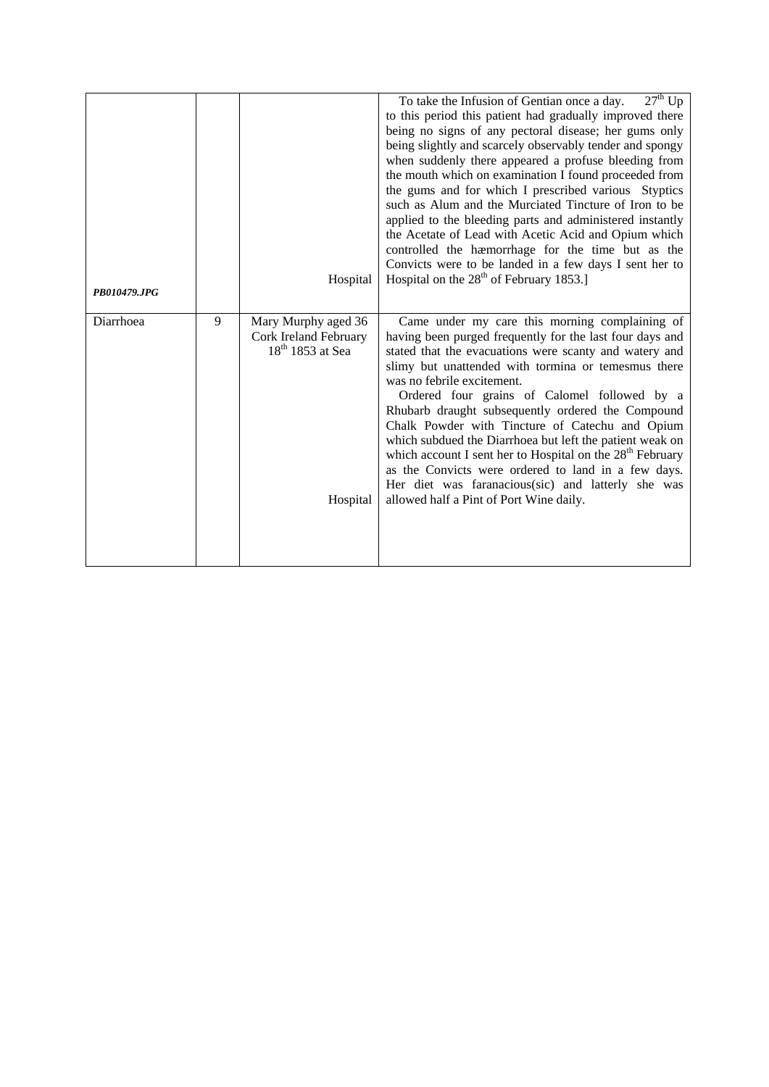| PB010479.JPG |   | Hospital                                                                       | $27th$ Up<br>To take the Infusion of Gentian once a day.<br>to this period this patient had gradually improved there<br>being no signs of any pectoral disease; her gums only<br>being slightly and scarcely observably tender and spongy<br>when suddenly there appeared a profuse bleeding from<br>the mouth which on examination I found proceeded from<br>the gums and for which I prescribed various Styptics<br>such as Alum and the Murciated Tincture of Iron to be<br>applied to the bleeding parts and administered instantly<br>the Acetate of Lead with Acetic Acid and Opium which<br>controlled the hæmorrhage for the time but as the<br>Convicts were to be landed in a few days I sent her to<br>Hospital on the $28th$ of February 1853.] |
|--------------|---|--------------------------------------------------------------------------------|-------------------------------------------------------------------------------------------------------------------------------------------------------------------------------------------------------------------------------------------------------------------------------------------------------------------------------------------------------------------------------------------------------------------------------------------------------------------------------------------------------------------------------------------------------------------------------------------------------------------------------------------------------------------------------------------------------------------------------------------------------------|
| Diarrhoea    | 9 | Mary Murphy aged 36<br>Cork Ireland February<br>$18th 1853$ at Sea<br>Hospital | Came under my care this morning complaining of<br>having been purged frequently for the last four days and<br>stated that the evacuations were scanty and watery and<br>slimy but unattended with tormina or temesmus there<br>was no febrile excitement.<br>Ordered four grains of Calomel followed by a<br>Rhubarb draught subsequently ordered the Compound<br>Chalk Powder with Tincture of Catechu and Opium<br>which subdued the Diarrhoea but left the patient weak on<br>which account I sent her to Hospital on the 28 <sup>th</sup> February<br>as the Convicts were ordered to land in a few days.<br>Her diet was faranacious(sic) and latterly she was<br>allowed half a Pint of Port Wine daily.                                              |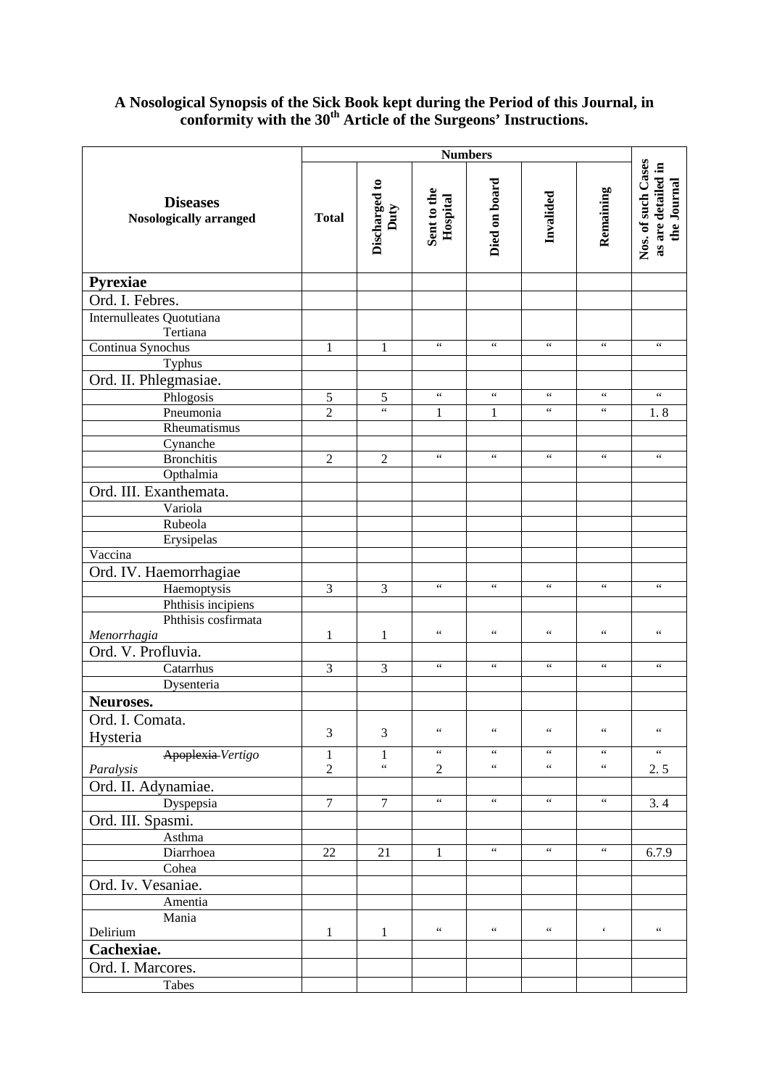## **A Nosological Synopsis of the Sick Book kept during the Period of this Journal, in conformity with the 30th Article of the Surgeons' Instructions.**

|                                           | <b>Numbers</b>          |                                |                         |                                            |                       |                      |                                                         |
|-------------------------------------------|-------------------------|--------------------------------|-------------------------|--------------------------------------------|-----------------------|----------------------|---------------------------------------------------------|
| <b>Diseases</b><br>Nosologically arranged | <b>Total</b>            | Discharged to<br>Duty          | Sent to the<br>Hospital | Died on board                              | Invalided             | Remaining            | Nos. of such Cases<br>as are detailed in<br>the Journal |
| Pyrexiae                                  |                         |                                |                         |                                            |                       |                      |                                                         |
| Ord. I. Febres.                           |                         |                                |                         |                                            |                       |                      |                                                         |
| Internulleates Quotutiana<br>Tertiana     |                         |                                |                         |                                            |                       |                      |                                                         |
| Continua Synochus                         | 1                       | 1                              | $\zeta\,\zeta$          | $\zeta\,\zeta$                             | $\zeta$ $\zeta$       | $\zeta\,\zeta$       | $\zeta\,\zeta$                                          |
| Typhus                                    |                         |                                |                         |                                            |                       |                      |                                                         |
| Ord. II. Phlegmasiae.                     |                         |                                |                         |                                            |                       |                      |                                                         |
| Phlogosis                                 | $\sqrt{5}$              | 5                              | $\zeta\,\zeta$          | $\zeta\,\zeta$                             | $\zeta\,\zeta$        | $\zeta\,\zeta$       | $\zeta\,\zeta$                                          |
| Pneumonia                                 | $\overline{2}$          | $\zeta\,\zeta$                 | $\mathbf{1}$            | 1                                          | $\zeta$ $\zeta$       | $\zeta\,\zeta$       | 1.8                                                     |
| Rheumatismus                              |                         |                                |                         |                                            |                       |                      |                                                         |
| Cynanche                                  |                         |                                | $\zeta\,\zeta$          | $\zeta\,\zeta$                             | $\zeta\,\zeta$        | $\zeta\,\zeta$       | $\zeta\,\zeta$                                          |
| <b>Bronchitis</b>                         | $\overline{2}$          | $\overline{2}$                 |                         |                                            |                       |                      |                                                         |
| Opthalmia                                 |                         |                                |                         |                                            |                       |                      |                                                         |
| Ord. III. Exanthemata.                    |                         |                                |                         |                                            |                       |                      |                                                         |
| Variola                                   |                         |                                |                         |                                            |                       |                      |                                                         |
| Rubeola                                   |                         |                                |                         |                                            |                       |                      |                                                         |
| Erysipelas<br>Vaccina                     |                         |                                |                         |                                            |                       |                      |                                                         |
|                                           |                         |                                |                         |                                            |                       |                      |                                                         |
| Ord. IV. Haemorrhagiae                    |                         |                                | $\zeta\,\zeta$          | $\zeta\,\zeta$                             | $\zeta\,\zeta$        | $\zeta\,\zeta$       | $\zeta\,\zeta$                                          |
| Haemoptysis                               | $\overline{3}$          | 3                              |                         |                                            |                       |                      |                                                         |
| Phthisis incipiens<br>Phthisis cosfirmata |                         |                                |                         |                                            |                       |                      |                                                         |
| Menorrhagia                               | $\mathbf{1}$            | $\mathbf{1}$                   | $\zeta\,\zeta$          | $\zeta\,\zeta$                             | $\zeta$ $\zeta$       | $\zeta\,\zeta$       | $\zeta\,\zeta$                                          |
| Ord. V. Profluvia.                        |                         |                                |                         |                                            |                       |                      |                                                         |
| Catarrhus                                 | 3                       | 3                              | $\zeta\,\zeta$          | $\boldsymbol{\zeta} \, \boldsymbol{\zeta}$ | $\zeta\,\zeta$        | $\zeta\,\zeta$       | $\zeta\,\zeta$                                          |
| Dysenteria                                |                         |                                |                         |                                            |                       |                      |                                                         |
| Neuroses.                                 |                         |                                |                         |                                            |                       |                      |                                                         |
|                                           |                         |                                |                         |                                            |                       |                      |                                                         |
| Ord. I. Comata.                           | 3                       | 3                              | $\zeta\,\zeta$          | $\zeta\,\zeta$                             | $\zeta$ $\zeta$       | $\zeta\,\zeta$       | $\boldsymbol{\zeta} \, \boldsymbol{\zeta}$              |
| Hysteria                                  |                         |                                | $\epsilon$ $\epsilon$   | $\epsilon$ $\epsilon$                      | $\epsilon\epsilon$    | $\epsilon\,\epsilon$ | $\epsilon\epsilon$                                      |
| Apoplexia-Vertigo                         | $\,1$<br>$\overline{2}$ | $\mathbf{1}$<br>$\zeta\,\zeta$ | $\overline{2}$          | $\zeta$ $\zeta$                            | $\zeta$ $\zeta$       | $\zeta$ $\zeta$      | 2.5                                                     |
| Paralysis<br>Ord. II. Adynamiae.          |                         |                                |                         |                                            |                       |                      |                                                         |
|                                           | $\tau$                  | $\tau$                         | $\zeta\,\zeta$          | $\zeta$ $\zeta$                            | $\zeta\,\zeta$        | $\epsilon\,\epsilon$ |                                                         |
| Dyspepsia                                 |                         |                                |                         |                                            |                       |                      | 3.4                                                     |
| Ord. III. Spasmi.                         |                         |                                |                         |                                            |                       |                      |                                                         |
| Asthma<br>Diarrhoea                       | 22                      | 21                             | 1                       | $\zeta$ $\zeta$                            | $\epsilon$ $\epsilon$ | $\,$ 6 $\,$          | 6.7.9                                                   |
| Cohea                                     |                         |                                |                         |                                            |                       |                      |                                                         |
| Ord. Iv. Vesaniae.                        |                         |                                |                         |                                            |                       |                      |                                                         |
|                                           |                         |                                |                         |                                            |                       |                      |                                                         |
| Amentia<br>Mania                          |                         |                                |                         |                                            |                       |                      |                                                         |
| Delirium                                  | 1                       | $\mathbf{1}$                   | $\zeta$ $\zeta$         | $\zeta$ $\zeta$                            | $\zeta\,\zeta$        | $\boldsymbol{\zeta}$ | $\zeta$ $\zeta$                                         |
| Cachexiae.                                |                         |                                |                         |                                            |                       |                      |                                                         |
| Ord. I. Marcores.                         |                         |                                |                         |                                            |                       |                      |                                                         |
|                                           |                         |                                |                         |                                            |                       |                      |                                                         |
| Tabes                                     |                         |                                |                         |                                            |                       |                      |                                                         |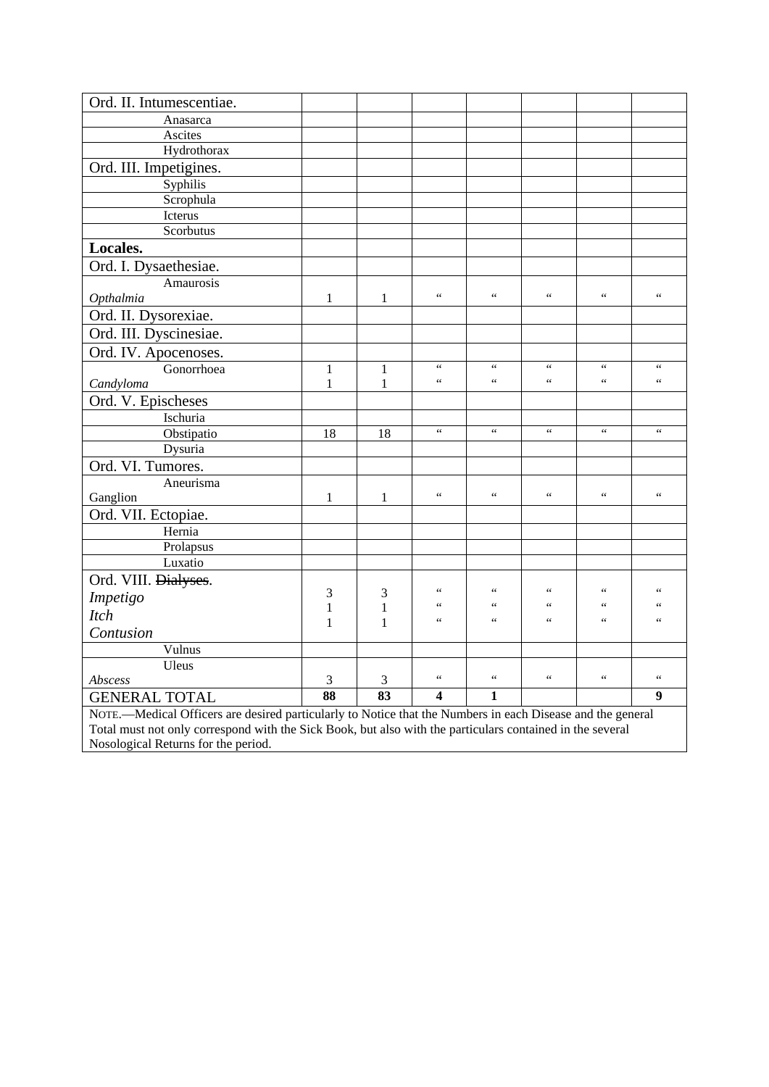| Ord. II. Intumescentiae.                                                                                   |                          |                |                                            |                                |                       |                     |                                            |
|------------------------------------------------------------------------------------------------------------|--------------------------|----------------|--------------------------------------------|--------------------------------|-----------------------|---------------------|--------------------------------------------|
| Anasarca                                                                                                   |                          |                |                                            |                                |                       |                     |                                            |
| Ascites                                                                                                    |                          |                |                                            |                                |                       |                     |                                            |
| Hydrothorax                                                                                                |                          |                |                                            |                                |                       |                     |                                            |
| Ord. III. Impetigines.                                                                                     |                          |                |                                            |                                |                       |                     |                                            |
| Syphilis                                                                                                   |                          |                |                                            |                                |                       |                     |                                            |
| Scrophula                                                                                                  |                          |                |                                            |                                |                       |                     |                                            |
| Icterus                                                                                                    |                          |                |                                            |                                |                       |                     |                                            |
| Scorbutus                                                                                                  |                          |                |                                            |                                |                       |                     |                                            |
| Locales.                                                                                                   |                          |                |                                            |                                |                       |                     |                                            |
| Ord. I. Dysaethesiae.                                                                                      |                          |                |                                            |                                |                       |                     |                                            |
| Amaurosis                                                                                                  |                          |                |                                            |                                |                       |                     |                                            |
| Opthalmia                                                                                                  | 1                        | 1              | $\epsilon$                                 | $\zeta$ $\zeta$                | $\zeta$ $\zeta$       | $\zeta\,\zeta$      | $\zeta\,\zeta$                             |
| Ord. II. Dysorexiae.                                                                                       |                          |                |                                            |                                |                       |                     |                                            |
| Ord. III. Dyscinesiae.                                                                                     |                          |                |                                            |                                |                       |                     |                                            |
| Ord. IV. Apocenoses.                                                                                       |                          |                |                                            |                                |                       |                     |                                            |
| Gonorrhoea                                                                                                 | $\mathbf{1}$             | $\mathbf{1}$   | $\boldsymbol{\zeta} \, \boldsymbol{\zeta}$ | $\zeta\,\zeta$                 | $\zeta\,\zeta$        | $\zeta\,\zeta$      | $\boldsymbol{\zeta} \, \boldsymbol{\zeta}$ |
| Candyloma                                                                                                  | $\mathbf{1}$             | $\mathbf{1}$   | $\epsilon$ $\epsilon$                      | $\zeta\,\zeta$                 | $\zeta$ $\zeta$       | $\zeta\,\zeta$      | $\zeta$ $\zeta$                            |
| Ord. V. Epischeses                                                                                         |                          |                |                                            |                                |                       |                     |                                            |
| Ischuria                                                                                                   |                          |                |                                            |                                |                       |                     |                                            |
| Obstipatio                                                                                                 | 18                       | 18             | $\zeta\,\zeta$                             | $\zeta\,\zeta$                 | $\zeta\,\zeta$        | $\zeta\,\zeta$      | $\zeta\,\zeta$                             |
| Dysuria                                                                                                    |                          |                |                                            |                                |                       |                     |                                            |
| Ord. VI. Tumores.                                                                                          |                          |                |                                            |                                |                       |                     |                                            |
| Aneurisma                                                                                                  |                          |                |                                            |                                |                       |                     |                                            |
| Ganglion                                                                                                   | 1                        | $\mathbf{1}$   | $\zeta\,\zeta$                             | $\zeta\,\zeta$                 | $\zeta\,\zeta$        | $\zeta\,\zeta$      | $\zeta$ $\zeta$                            |
| Ord. VII. Ectopiae.                                                                                        |                          |                |                                            |                                |                       |                     |                                            |
| Hernia                                                                                                     |                          |                |                                            |                                |                       |                     |                                            |
| Prolapsus                                                                                                  |                          |                |                                            |                                |                       |                     |                                            |
| Luxatio                                                                                                    |                          |                |                                            |                                |                       |                     |                                            |
| Ord. VIII. Dialyses.                                                                                       |                          |                |                                            |                                |                       |                     |                                            |
| Impetigo                                                                                                   | 3                        | 3              | $\leq$ $\leq$                              | $\leq$ $\leq$<br>$\leq$ $\leq$ | $\zeta$ $\zeta$<br>66 | $\leq$ $\leq$<br>66 | $\leq$ $\leq$<br>$\leq$ $\leq$             |
| <b>Itch</b>                                                                                                | $\mathbf{1}$             | $\mathbf{1}$   | 66<br>$\epsilon$                           | $\zeta \zeta$                  | 66                    | $\zeta \zeta$       | $\zeta\,\zeta$                             |
| Contusion                                                                                                  | $\mathbf{1}$             | 1              |                                            |                                |                       |                     |                                            |
| Vulnus                                                                                                     |                          |                |                                            |                                |                       |                     |                                            |
| Uleus                                                                                                      |                          |                |                                            |                                |                       |                     |                                            |
| Abscess                                                                                                    | 3                        | $\mathfrak{Z}$ | $\zeta\,\zeta$                             | $\zeta\,\zeta$                 | $\zeta \zeta$         | $\zeta\,\zeta$      | $\zeta\,\zeta$                             |
| <b>GENERAL TOTAL</b>                                                                                       | $\overline{\textbf{88}}$ | 83             | $\overline{\mathbf{4}}$                    | $\mathbf{1}$                   |                       |                     | $\boldsymbol{9}$                           |
| NOTE.—Medical Officers are desired particularly to Notice that the Numbers in each Disease and the general |                          |                |                                            |                                |                       |                     |                                            |
| Total must not only correspond with the Sick Book, but also with the particulars contained in the several  |                          |                |                                            |                                |                       |                     |                                            |
| Nosological Returns for the period.                                                                        |                          |                |                                            |                                |                       |                     |                                            |

Nosological Returns for the period.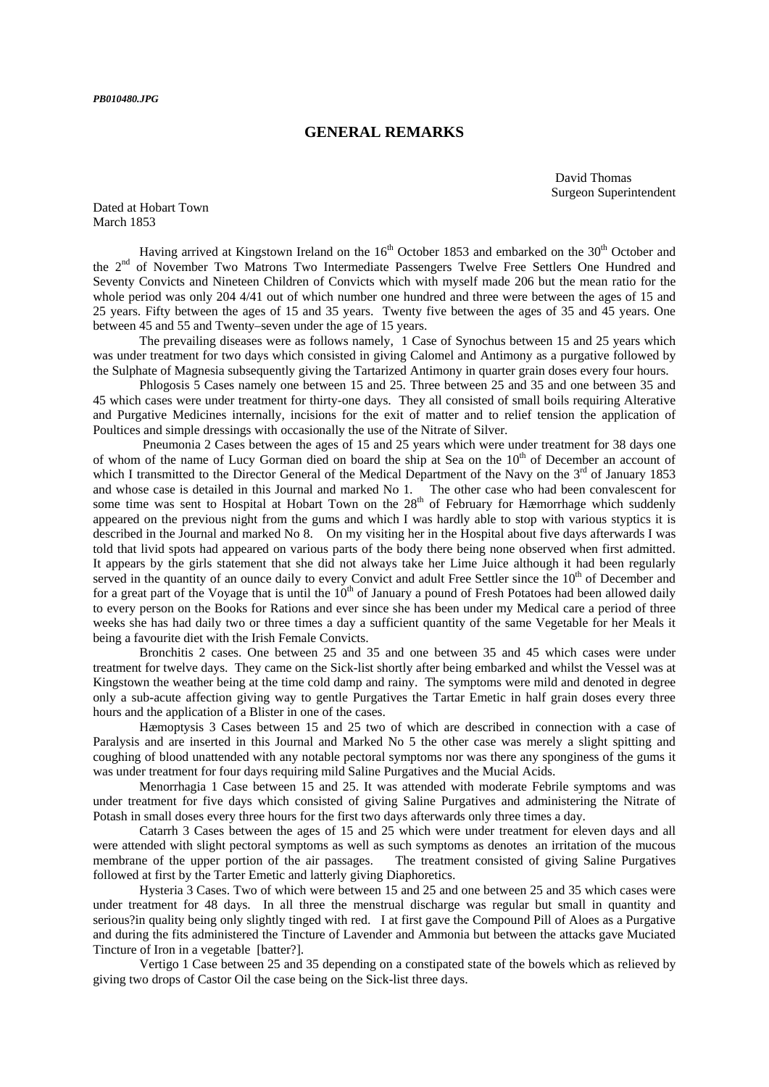#### **GENERAL REMARKS**

David Thomas Surgeon Superintendent

Dated at Hobart Town March 1853

Having arrived at Kingstown Ireland on the 16<sup>th</sup> October 1853 and embarked on the 30<sup>th</sup> October and the 2<sup>nd</sup> of November Two Matrons Two Intermediate Passengers Twelve Free Settlers One Hundred and Seventy Convicts and Nineteen Children of Convicts which with myself made 206 but the mean ratio for the whole period was only 204 4/41 out of which number one hundred and three were between the ages of 15 and 25 years. Fifty between the ages of 15 and 35 years. Twenty five between the ages of 35 and 45 years. One between 45 and 55 and Twenty–seven under the age of 15 years.

 The prevailing diseases were as follows namely, 1 Case of Synochus between 15 and 25 years which was under treatment for two days which consisted in giving Calomel and Antimony as a purgative followed by the Sulphate of Magnesia subsequently giving the Tartarized Antimony in quarter grain doses every four hours.

 Phlogosis 5 Cases namely one between 15 and 25. Three between 25 and 35 and one between 35 and 45 which cases were under treatment for thirty-one days. They all consisted of small boils requiring Alterative and Purgative Medicines internally, incisions for the exit of matter and to relief tension the application of Poultices and simple dressings with occasionally the use of the Nitrate of Silver.

 Pneumonia 2 Cases between the ages of 15 and 25 years which were under treatment for 38 days one of whom of the name of Lucy Gorman died on board the ship at Sea on the  $10<sup>th</sup>$  of December an account of which I transmitted to the Director General of the Medical Department of the Navy on the  $3<sup>rd</sup>$  of January 1853 and whose case is detailed in this Journal and marked No 1. The other case who had been convalescent for some time was sent to Hospital at Hobart Town on the  $28<sup>th</sup>$  of February for Hæmorrhage which suddenly appeared on the previous night from the gums and which I was hardly able to stop with various styptics it is described in the Journal and marked No 8. On my visiting her in the Hospital about five days afterwards I was told that livid spots had appeared on various parts of the body there being none observed when first admitted. It appears by the girls statement that she did not always take her Lime Juice although it had been regularly served in the quantity of an ounce daily to every Convict and adult Free Settler since the 10<sup>th</sup> of December and for a great part of the Voyage that is until the  $10<sup>th</sup>$  of January a pound of Fresh Potatoes had been allowed daily to every person on the Books for Rations and ever since she has been under my Medical care a period of three weeks she has had daily two or three times a day a sufficient quantity of the same Vegetable for her Meals it being a favourite diet with the Irish Female Convicts.

 Bronchitis 2 cases. One between 25 and 35 and one between 35 and 45 which cases were under treatment for twelve days. They came on the Sick-list shortly after being embarked and whilst the Vessel was at Kingstown the weather being at the time cold damp and rainy. The symptoms were mild and denoted in degree only a sub-acute affection giving way to gentle Purgatives the Tartar Emetic in half grain doses every three hours and the application of a Blister in one of the cases.

 Hæmoptysis 3 Cases between 15 and 25 two of which are described in connection with a case of Paralysis and are inserted in this Journal and Marked No 5 the other case was merely a slight spitting and coughing of blood unattended with any notable pectoral symptoms nor was there any sponginess of the gums it was under treatment for four days requiring mild Saline Purgatives and the Mucial Acids.

 Menorrhagia 1 Case between 15 and 25. It was attended with moderate Febrile symptoms and was under treatment for five days which consisted of giving Saline Purgatives and administering the Nitrate of Potash in small doses every three hours for the first two days afterwards only three times a day.

 Catarrh 3 Cases between the ages of 15 and 25 which were under treatment for eleven days and all were attended with slight pectoral symptoms as well as such symptoms as denotes an irritation of the mucous membrane of the upper portion of the air passages. The treatment consisted of giving Saline Purgatives followed at first by the Tarter Emetic and latterly giving Diaphoretics.

 Hysteria 3 Cases. Two of which were between 15 and 25 and one between 25 and 35 which cases were under treatment for 48 days. In all three the menstrual discharge was regular but small in quantity and serious?in quality being only slightly tinged with red. I at first gave the Compound Pill of Aloes as a Purgative and during the fits administered the Tincture of Lavender and Ammonia but between the attacks gave Muciated Tincture of Iron in a vegetable [batter?].

 Vertigo 1 Case between 25 and 35 depending on a constipated state of the bowels which as relieved by giving two drops of Castor Oil the case being on the Sick-list three days.